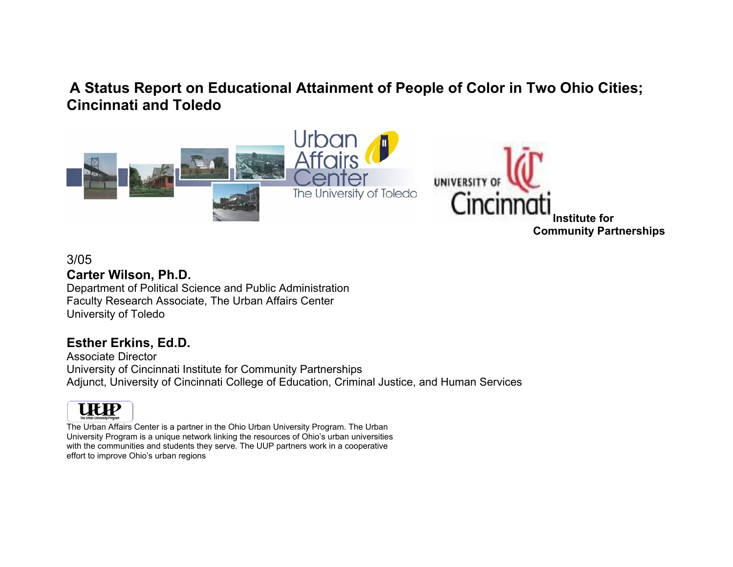# **A Status Report on Educational Attainment of People of Color in Two Ohio Cities; Cincinnati and Toledo**



### 3/05

### **Carter Wilson, Ph.D.**

Department of Political Science and Public Administration Faculty Research Associate, The Urban Affairs Center University of Toledo

# **Esther Erkins, Ed.D.**

Associate Director University of Cincinnati Institute for Community Partnerships Adjunct, University of Cincinnati College of Education, Criminal Justice, and Human Services



The Urban Affairs Center is a partner in the Ohio Urban University Program. The Urban University Program is a unique network linking the resources of Ohio's urban universities with the communities and students they serve. The UUP partners work in a cooperative effort to improve Ohio's urban regions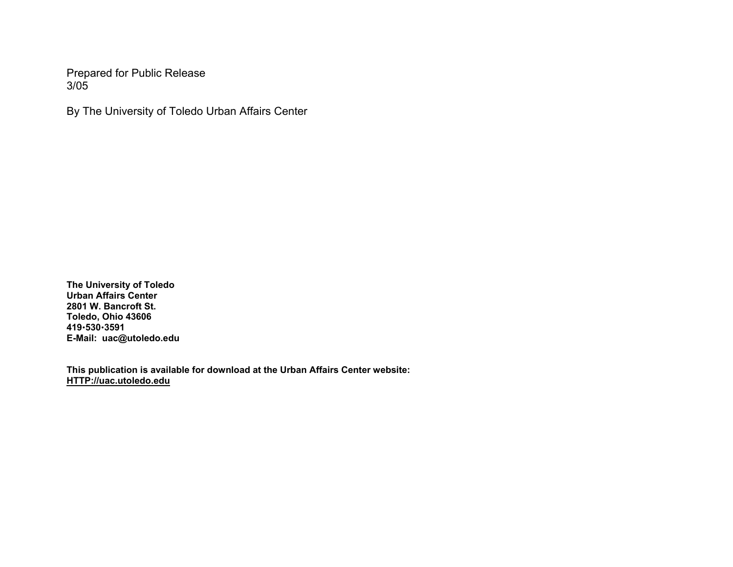Prepared for Public Release 3/05

By The University of Toledo Urban Affairs Center

**The University of Toledo Urban Affairs Center 2801 W. Bancroft St. Toledo, Ohio 43606 419**x**530**x**3591 E-Mail: uac@utoledo.edu** 

**This publication is available for download at the Urban Affairs Center website: HTTP://uac.utoledo.edu**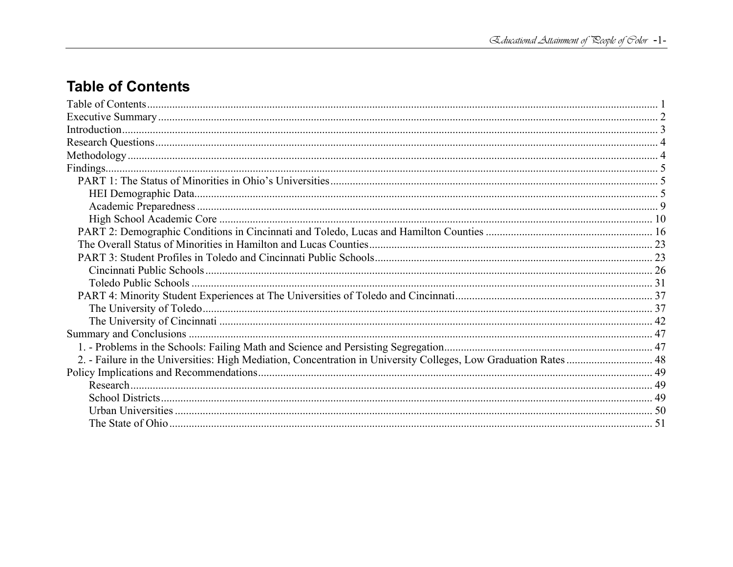# **Table of Contents**

| 2. - Failure in the Universities: High Mediation, Concentration in University Colleges, Low Graduation Rates  48 |  |
|------------------------------------------------------------------------------------------------------------------|--|
|                                                                                                                  |  |
|                                                                                                                  |  |
|                                                                                                                  |  |
|                                                                                                                  |  |
|                                                                                                                  |  |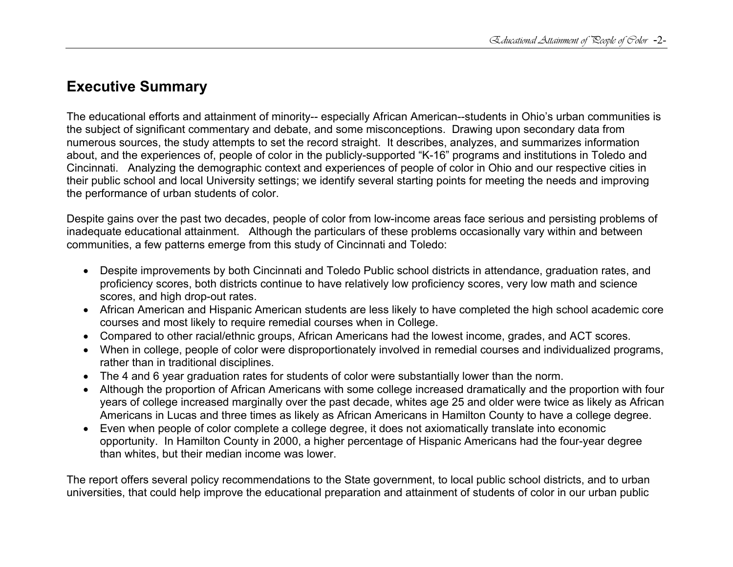# **Executive Summary**

The educational efforts and attainment of minority-- especially African American--students in Ohio's urban communities is the subject of significant commentary and debate, and some misconceptions. Drawing upon secondary data from numerous sources, the study attempts to set the record straight. It describes, analyzes, and summarizes information about, and the experiences of, people of color in the publicly-supported "K-16" programs and institutions in Toledo and Cincinnati. Analyzing the demographic context and experiences of people of color in Ohio and our respective cities in their public school and local University settings; we identify several starting points for meeting the needs and improving the performance of urban students of color.

Despite gains over the past two decades, people of color from low-income areas face serious and persisting problems of inadequate educational attainment. Although the particulars of these problems occasionally vary within and between communities, a few patterns emerge from this study of Cincinnati and Toledo:

- Despite improvements by both Cincinnati and Toledo Public school districts in attendance, graduation rates, and proficiency scores, both districts continue to have relatively low proficiency scores, very low math and science scores, and high drop-out rates.
- African American and Hispanic American students are less likely to have completed the high school academic core courses and most likely to require remedial courses when in College.
- Compared to other racial/ethnic groups, African Americans had the lowest income, grades, and ACT scores.
- When in college, people of color were disproportionately involved in remedial courses and individualized programs, rather than in traditional disciplines.
- The 4 and 6 year graduation rates for students of color were substantially lower than the norm.
- Although the proportion of African Americans with some college increased dramatically and the proportion with four years of college increased marginally over the past decade, whites age 25 and older were twice as likely as African Americans in Lucas and three times as likely as African Americans in Hamilton County to have a college degree.
- Even when people of color complete a college degree, it does not axiomatically translate into economic opportunity. In Hamilton County in 2000, a higher percentage of Hispanic Americans had the four-year degree than whites, but their median income was lower.

The report offers several policy recommendations to the State government, to local public school districts, and to urban universities, that could help improve the educational preparation and attainment of students of color in our urban public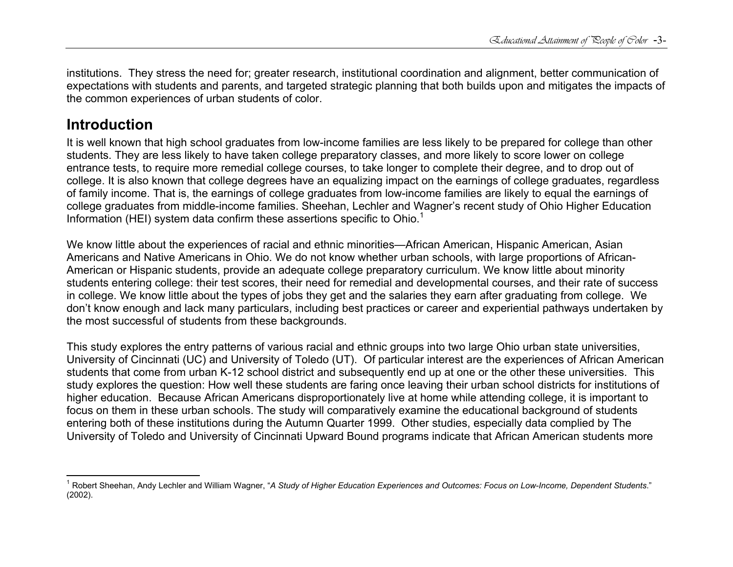institutions. They stress the need for; greater research, institutional coordination and alignment, better communication of expectations with students and parents, and targeted strategic planning that both builds upon and mitigates the impacts of the common experiences of urban students of color.

# **Introduction**

It is well known that high school graduates from low-income families are less likely to be prepared for college than other students. They are less likely to have taken college preparatory classes, and more likely to score lower on college entrance tests, to require more remedial college courses, to take longer to complete their degree, and to drop out of college. It is also known that college degrees have an equalizing impact on the earnings of college graduates, regardless of family income. That is, the earnings of college graduates from low-income families are likely to equal the earnings of college graduates from middle-income families. Sheehan, Lechler and Wagner's recent study of Ohio Higher Education Information (HEI) system data confirm these assertions specific to Ohio.<sup>1</sup>

We know little about the experiences of racial and ethnic minorities—African American, Hispanic American, Asian Americans and Native Americans in Ohio. We do not know whether urban schools, with large proportions of African-American or Hispanic students, provide an adequate college preparatory curriculum. We know little about minority students entering college: their test scores, their need for remedial and developmental courses, and their rate of success in college. We know little about the types of jobs they get and the salaries they earn after graduating from college. We don't know enough and lack many particulars, including best practices or career and experiential pathways undertaken by the most successful of students from these backgrounds.

This study explores the entry patterns of various racial and ethnic groups into two large Ohio urban state universities, University of Cincinnati (UC) and University of Toledo (UT). Of particular interest are the experiences of African American students that come from urban K-12 school district and subsequently end up at one or the other these universities. This study explores the question: How well these students are faring once leaving their urban school districts for institutions of higher education. Because African Americans disproportionately live at home while attending college, it is important to focus on them in these urban schools. The study will comparatively examine the educational background of students entering both of these institutions during the Autumn Quarter 1999. Other studies, especially data complied by The University of Toledo and University of Cincinnati Upward Bound programs indicate that African American students more

<sup>1</sup> Robert Sheehan, Andy Lechler and William Wagner, "*A Study of Higher Education Experiences and Outcomes: Focus on Low-Income, Dependent Students*." (2002).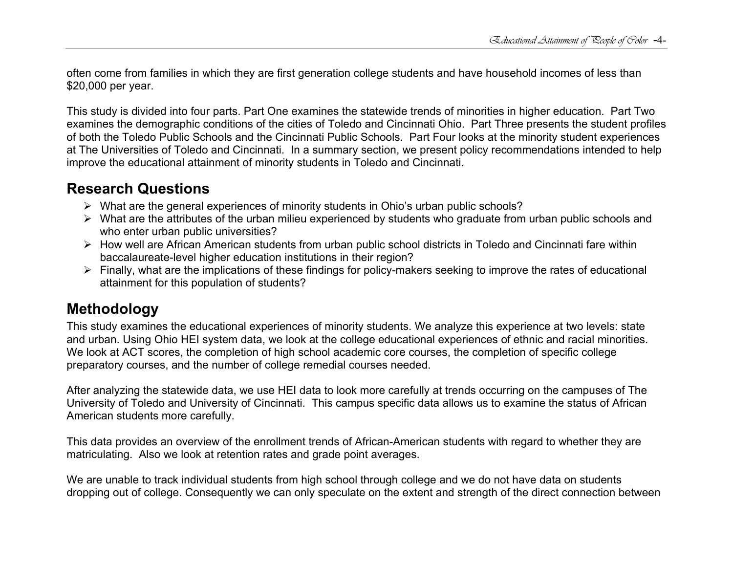often come from families in which they are first generation college students and have household incomes of less than \$20,000 per year.

This study is divided into four parts. Part One examines the statewide trends of minorities in higher education. Part Two examines the demographic conditions of the cities of Toledo and Cincinnati Ohio. Part Three presents the student profiles of both the Toledo Public Schools and the Cincinnati Public Schools. Part Four looks at the minority student experiences at The Universities of Toledo and Cincinnati. In a summary section, we present policy recommendations intended to help improve the educational attainment of minority students in Toledo and Cincinnati.

# **Research Questions**

- $\triangleright$  What are the general experiences of minority students in Ohio's urban public schools?
- $\triangleright$  What are the attributes of the urban milieu experienced by students who graduate from urban public schools and who enter urban public universities?
- $\triangleright$  How well are African American students from urban public school districts in Toledo and Cincinnati fare within baccalaureate-level higher education institutions in their region?
- $\triangleright$  Finally, what are the implications of these findings for policy-makers seeking to improve the rates of educational attainment for this population of students?

# **Methodology**

This study examines the educational experiences of minority students. We analyze this experience at two levels: state and urban. Using Ohio HEI system data, we look at the college educational experiences of ethnic and racial minorities. We look at ACT scores, the completion of high school academic core courses, the completion of specific college preparatory courses, and the number of college remedial courses needed.

After analyzing the statewide data, we use HEI data to look more carefully at trends occurring on the campuses of The University of Toledo and University of Cincinnati. This campus specific data allows us to examine the status of African American students more carefully.

This data provides an overview of the enrollment trends of African-American students with regard to whether they are matriculating. Also we look at retention rates and grade point averages.

We are unable to track individual students from high school through college and we do not have data on students dropping out of college. Consequently we can only speculate on the extent and strength of the direct connection between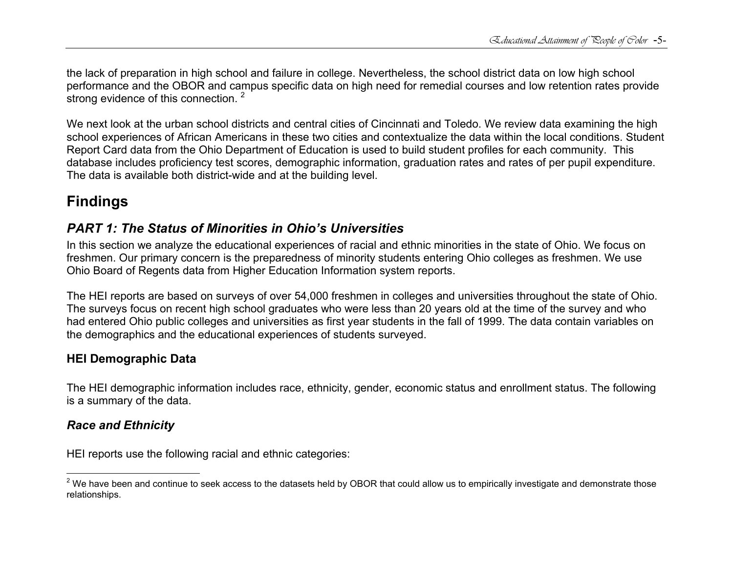the lack of preparation in high school and failure in college. Nevertheless, the school district data on low high school performance and the OBOR and campus specific data on high need for remedial courses and low retention rates provide strong evidence of this connection.<sup>2</sup>

We next look at the urban school districts and central cities of Cincinnati and Toledo. We review data examining the high school experiences of African Americans in these two cities and contextualize the data within the local conditions. Student Report Card data from the Ohio Department of Education is used to build student profiles for each community. This database includes proficiency test scores, demographic information, graduation rates and rates of per pupil expenditure. The data is available both district-wide and at the building level.

# **Findings**

# *PART 1: The Status of Minorities in Ohio's Universities*

In this section we analyze the educational experiences of racial and ethnic minorities in the state of Ohio. We focus on freshmen. Our primary concern is the preparedness of minority students entering Ohio colleges as freshmen. We use Ohio Board of Regents data from Higher Education Information system reports.

The HEI reports are based on surveys of over 54,000 freshmen in colleges and universities throughout the state of Ohio. The surveys focus on recent high school graduates who were less than 20 years old at the time of the survey and who had entered Ohio public colleges and universities as first year students in the fall of 1999. The data contain variables on the demographics and the educational experiences of students surveyed.

# **HEI Demographic Data**

The HEI demographic information includes race, ethnicity, gender, economic status and enrollment status. The following is a summary of the data.

# *Race and Ethnicity*

HEI reports use the following racial and ethnic categories:

 $2$  We have been and continue to seek access to the datasets held by OBOR that could allow us to empirically investigate and demonstrate those relationships.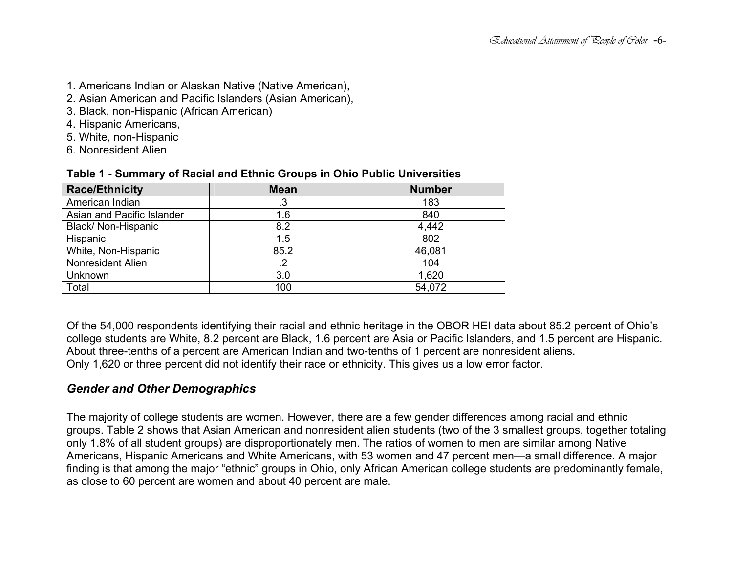- 1. Americans Indian or Alaskan Native (Native American),
- 2. Asian American and Pacific Islanders (Asian American),
- 3. Black, non-Hispanic (African American)
- 4. Hispanic Americans,
- 5. White, non-Hispanic
- 6. Nonresident Alien

| <b>Race/Ethnicity</b>      | <b>Mean</b> | <b>Number</b> |
|----------------------------|-------------|---------------|
| American Indian            | .3          | 183           |
| Asian and Pacific Islander | 1.6         | 840           |
| Black/ Non-Hispanic        | 8.2         | 4,442         |
| Hispanic                   | 1.5         | 802           |
| White, Non-Hispanic        | 85.2        | 46,081        |
| <b>Nonresident Alien</b>   |             | 104           |
| Unknown                    | 3.0         | 1,620         |
| Total                      | 100         | 54,072        |

#### **Table 1 - Summary of Racial and Ethnic Groups in Ohio Public Universities**

Of the 54,000 respondents identifying their racial and ethnic heritage in the OBOR HEI data about 85.2 percent of Ohio's college students are White, 8.2 percent are Black, 1.6 percent are Asia or Pacific Islanders, and 1.5 percent are Hispanic. About three-tenths of a percent are American Indian and two-tenths of 1 percent are nonresident aliens. Only 1,620 or three percent did not identify their race or ethnicity. This gives us a low error factor.

# *Gender and Other Demographics*

The majority of college students are women. However, there are a few gender differences among racial and ethnic groups. Table 2 shows that Asian American and nonresident alien students (two of the 3 smallest groups, together totaling only 1.8% of all student groups) are disproportionately men. The ratios of women to men are similar among Native Americans, Hispanic Americans and White Americans, with 53 women and 47 percent men—a small difference. A major finding is that among the major "ethnic" groups in Ohio, only African American college students are predominantly female, as close to 60 percent are women and about 40 percent are male.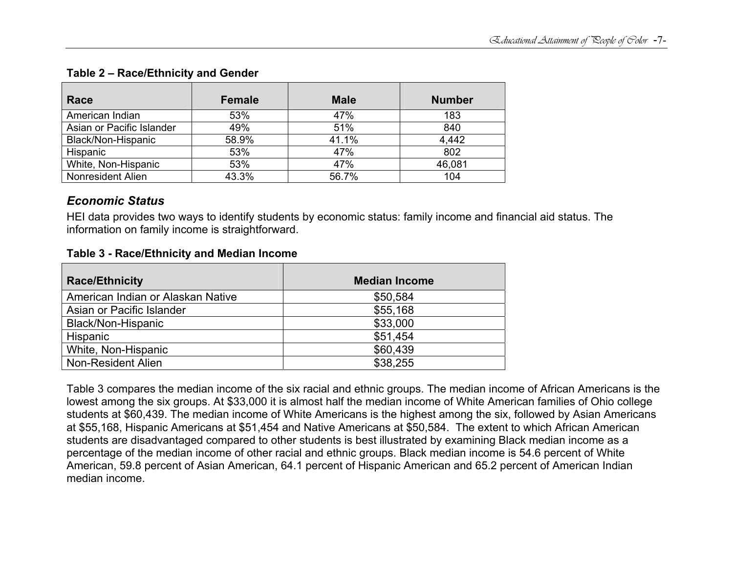| Race                      | <b>Female</b> | <b>Male</b> | <b>Number</b> |
|---------------------------|---------------|-------------|---------------|
| American Indian           | 53%           | 47%         | 183           |
| Asian or Pacific Islander | 49%           | 51%         | 840           |
| Black/Non-Hispanic        | 58.9%         | 41.1%       | 4,442         |
| Hispanic                  | 53%           | 47%         | 802           |
| White, Non-Hispanic       | 53%           | 47%         | 46,081        |
| <b>Nonresident Alien</b>  | 43.3%         | 56.7%       | 104           |

### **Table 2 – Race/Ethnicity and Gender**

### *Economic Status*

HEI data provides two ways to identify students by economic status: family income and financial aid status. The information on family income is straightforward.

#### **Table 3 - Race/Ethnicity and Median Income**

| <b>Race/Ethnicity</b>             | <b>Median Income</b> |
|-----------------------------------|----------------------|
| American Indian or Alaskan Native | \$50,584             |
| Asian or Pacific Islander         | \$55,168             |
| Black/Non-Hispanic                | \$33,000             |
| Hispanic                          | \$51,454             |
| White, Non-Hispanic               | \$60,439             |
| Non-Resident Alien                | \$38,255             |

Table 3 compares the median income of the six racial and ethnic groups. The median income of African Americans is the lowest among the six groups. At \$33,000 it is almost half the median income of White American families of Ohio college students at \$60,439. The median income of White Americans is the highest among the six, followed by Asian Americans at \$55,168, Hispanic Americans at \$51,454 and Native Americans at \$50,584. The extent to which African American students are disadvantaged compared to other students is best illustrated by examining Black median income as a percentage of the median income of other racial and ethnic groups. Black median income is 54.6 percent of White American, 59.8 percent of Asian American, 64.1 percent of Hispanic American and 65.2 percent of American Indian median income.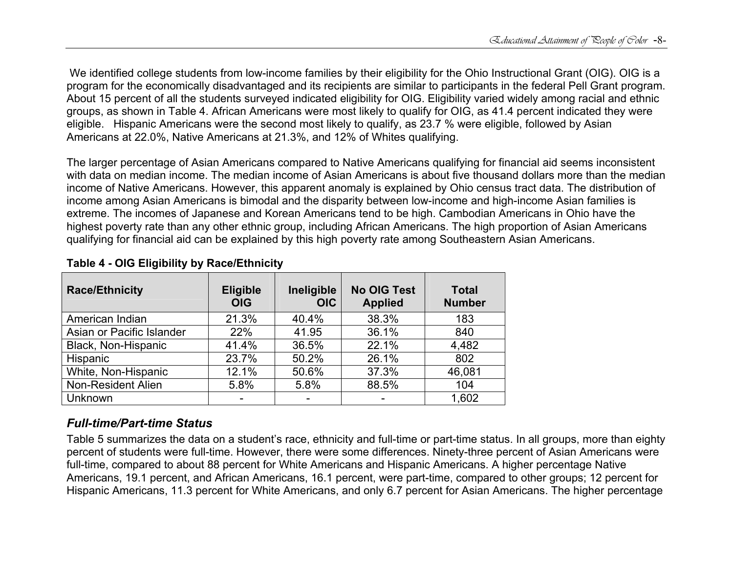We identified college students from low-income families by their eligibility for the Ohio Instructional Grant (OIG). OIG is a program for the economically disadvantaged and its recipients are similar to participants in the federal Pell Grant program. About 15 percent of all the students surveyed indicated eligibility for OIG. Eligibility varied widely among racial and ethnic groups, as shown in Table 4. African Americans were most likely to qualify for OIG, as 41.4 percent indicated they were eligible. Hispanic Americans were the second most likely to qualify, as 23.7 % were eligible, followed by Asian Americans at 22.0%, Native Americans at 21.3%, and 12% of Whites qualifying.

The larger percentage of Asian Americans compared to Native Americans qualifying for financial aid seems inconsistent with data on median income. The median income of Asian Americans is about five thousand dollars more than the median income of Native Americans. However, this apparent anomaly is explained by Ohio census tract data. The distribution of income among Asian Americans is bimodal and the disparity between low-income and high-income Asian families is extreme. The incomes of Japanese and Korean Americans tend to be high. Cambodian Americans in Ohio have the highest poverty rate than any other ethnic group, including African Americans. The high proportion of Asian Americans qualifying for financial aid can be explained by this high poverty rate among Southeastern Asian Americans.

| <b>Race/Ethnicity</b>     | <b>Eligible</b><br><b>OIG</b> | Ineligible<br><b>OIC</b> | <b>No OIG Test</b><br><b>Applied</b> | <b>Total</b><br><b>Number</b> |
|---------------------------|-------------------------------|--------------------------|--------------------------------------|-------------------------------|
| American Indian           | 21.3%                         | 40.4%                    | 38.3%                                | 183                           |
| Asian or Pacific Islander | 22%                           | 41.95                    | 36.1%                                | 840                           |
| Black, Non-Hispanic       | 41.4%                         | 36.5%                    | 22.1%                                | 4,482                         |
| Hispanic                  | 23.7%                         | 50.2%                    | 26.1%                                | 802                           |
| White, Non-Hispanic       | 12.1%                         | 50.6%                    | 37.3%                                | 46,081                        |
| Non-Resident Alien        | 5.8%                          | 5.8%                     | 88.5%                                | 104                           |
| Unknown                   |                               |                          |                                      | 1,602                         |

### **Table 4 - OIG Eligibility by Race/Ethnicity**

# *Full-time/Part-time Status*

Table 5 summarizes the data on a student's race, ethnicity and full-time or part-time status. In all groups, more than eighty percent of students were full-time. However, there were some differences. Ninety-three percent of Asian Americans were full-time, compared to about 88 percent for White Americans and Hispanic Americans. A higher percentage Native Americans, 19.1 percent, and African Americans, 16.1 percent, were part-time, compared to other groups; 12 percent for Hispanic Americans, 11.3 percent for White Americans, and only 6.7 percent for Asian Americans. The higher percentage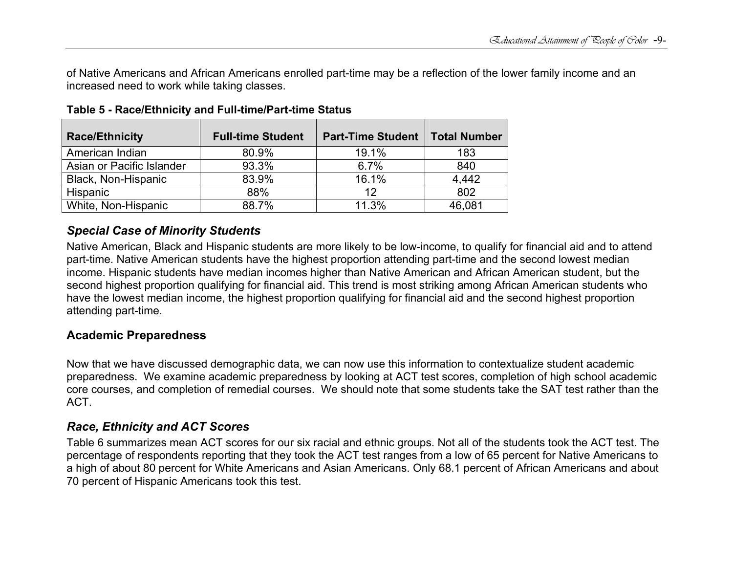of Native Americans and African Americans enrolled part-time may be a reflection of the lower family income and an increased need to work while taking classes.

| <b>Race/Ethnicity</b>     | <b>Full-time Student</b> | <b>Part-Time Student</b> | <b>Total Number</b> |
|---------------------------|--------------------------|--------------------------|---------------------|
| American Indian           | 80.9%                    | 19.1%                    | 183                 |
| Asian or Pacific Islander | 93.3%                    | 6.7%                     | 840                 |
| Black, Non-Hispanic       | 83.9%                    | 16.1%                    | 4,442               |
| Hispanic                  | 88%                      | 12                       | 802                 |
| White, Non-Hispanic       | 88.7%                    | 11.3%                    | 46,081              |

**Table 5 - Race/Ethnicity and Full-time/Part-time Status** 

### *Special Case of Minority Students*

Native American, Black and Hispanic students are more likely to be low-income, to qualify for financial aid and to attend part-time. Native American students have the highest proportion attending part-time and the second lowest median income. Hispanic students have median incomes higher than Native American and African American student, but the second highest proportion qualifying for financial aid. This trend is most striking among African American students who have the lowest median income, the highest proportion qualifying for financial aid and the second highest proportion attending part-time.

### **Academic Preparedness**

Now that we have discussed demographic data, we can now use this information to contextualize student academic preparedness. We examine academic preparedness by looking at ACT test scores, completion of high school academic core courses, and completion of remedial courses. We should note that some students take the SAT test rather than the ACT.

# *Race, Ethnicity and ACT Scores*

Table 6 summarizes mean ACT scores for our six racial and ethnic groups. Not all of the students took the ACT test. The percentage of respondents reporting that they took the ACT test ranges from a low of 65 percent for Native Americans to a high of about 80 percent for White Americans and Asian Americans. Only 68.1 percent of African Americans and about 70 percent of Hispanic Americans took this test.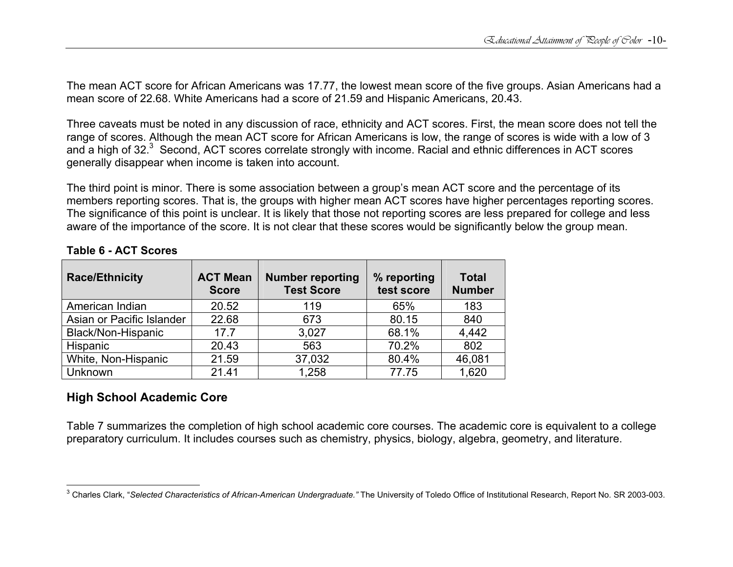The mean ACT score for African Americans was 17.77, the lowest mean score of the five groups. Asian Americans had a mean score of 22.68. White Americans had a score of 21.59 and Hispanic Americans, 20.43.

Three caveats must be noted in any discussion of race, ethnicity and ACT scores. First, the mean score does not tell the range of scores. Although the mean ACT score for African Americans is low, the range of scores is wide with a low of 3 and a high of 32.<sup>3</sup> Second, ACT scores correlate strongly with income. Racial and ethnic differences in ACT scores generally disappear when income is taken into account.

The third point is minor. There is some association between a group's mean ACT score and the percentage of its members reporting scores. That is, the groups with higher mean ACT scores have higher percentages reporting scores. The significance of this point is unclear. It is likely that those not reporting scores are less prepared for college and less aware of the importance of the score. It is not clear that these scores would be significantly below the group mean.

| <b>Race/Ethnicity</b>     | <b>ACT Mean</b><br><b>Score</b> | <b>Number reporting</b><br><b>Test Score</b> | % reporting<br>test score | <b>Total</b><br><b>Number</b> |
|---------------------------|---------------------------------|----------------------------------------------|---------------------------|-------------------------------|
| American Indian           | 20.52                           | 119                                          | 65%                       | 183                           |
| Asian or Pacific Islander | 22.68                           | 673                                          | 80.15                     | 840                           |
| Black/Non-Hispanic        | 17.7                            | 3,027                                        | 68.1%                     | 4,442                         |
| Hispanic                  | 20.43                           | 563                                          | 70.2%                     | 802                           |
| White, Non-Hispanic       | 21.59                           | 37,032                                       | 80.4%                     | 46,081                        |
| Unknown                   | 21.41                           | 1,258                                        | 77.75                     | 1,620                         |

#### **Table 6 - ACT Scores**

### **High School Academic Core**

Table 7 summarizes the completion of high school academic core courses. The academic core is equivalent to a college preparatory curriculum. It includes courses such as chemistry, physics, biology, algebra, geometry, and literature.

<sup>&</sup>lt;sup>3</sup> Charles Clark, "Selected Characteristics of African-American Undergraduate." The University of Toledo Office of Institutional Research, Report No. SR 2003-003.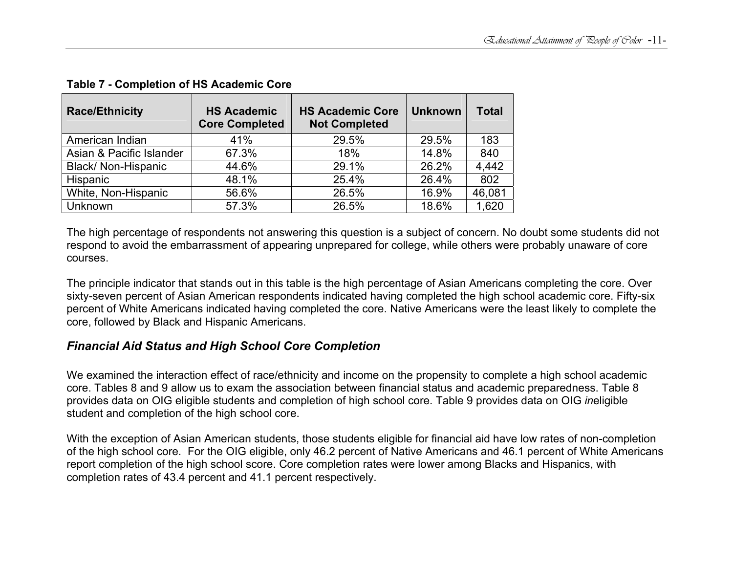| <b>Race/Ethnicity</b>    | <b>HS Academic</b><br><b>Core Completed</b> | <b>HS Academic Core</b><br><b>Not Completed</b> | <b>Unknown</b> | <b>Total</b> |
|--------------------------|---------------------------------------------|-------------------------------------------------|----------------|--------------|
| American Indian          | 41%                                         | 29.5%                                           | 29.5%          | 183          |
| Asian & Pacific Islander | 67.3%                                       | 18%                                             | 14.8%          | 840          |
| Black/ Non-Hispanic      | 44.6%                                       | 29.1%                                           | 26.2%          | 4,442        |
| Hispanic                 | 48.1%                                       | 25.4%                                           | 26.4%          | 802          |
| White, Non-Hispanic      | 56.6%                                       | 26.5%                                           | 16.9%          | 46,081       |
| Unknown                  | 57.3%                                       | 26.5%                                           | 18.6%          | 1,620        |

### **Table 7 - Completion of HS Academic Core**

The high percentage of respondents not answering this question is a subject of concern. No doubt some students did not respond to avoid the embarrassment of appearing unprepared for college, while others were probably unaware of core courses.

The principle indicator that stands out in this table is the high percentage of Asian Americans completing the core. Over sixty-seven percent of Asian American respondents indicated having completed the high school academic core. Fifty-six percent of White Americans indicated having completed the core. Native Americans were the least likely to complete the core, followed by Black and Hispanic Americans.

### *Financial Aid Status and High School Core Completion*

We examined the interaction effect of race/ethnicity and income on the propensity to complete a high school academic core. Tables 8 and 9 allow us to exam the association between financial status and academic preparedness. Table 8 provides data on OIG eligible students and completion of high school core. Table 9 provides data on OIG *in*eligible student and completion of the high school core.

With the exception of Asian American students, those students eligible for financial aid have low rates of non-completion of the high school core. For the OIG eligible, only 46.2 percent of Native Americans and 46.1 percent of White Americans report completion of the high school score. Core completion rates were lower among Blacks and Hispanics, with completion rates of 43.4 percent and 41.1 percent respectively.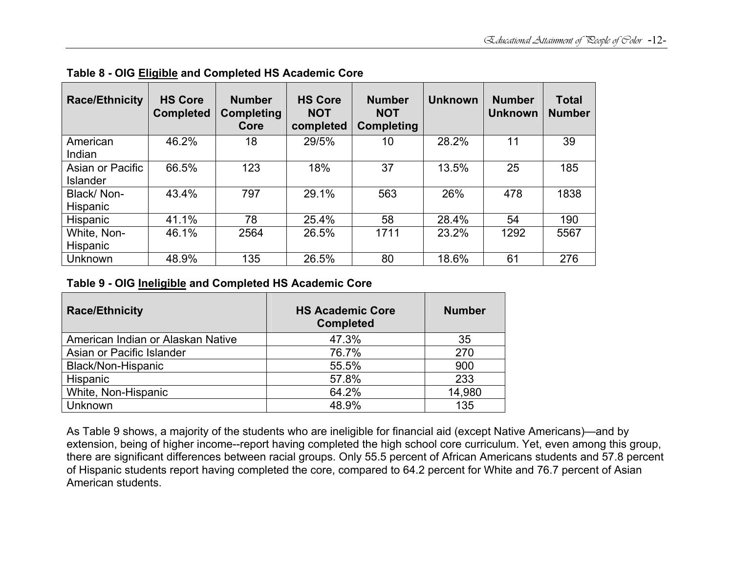| <b>Race/Ethnicity</b> | <b>HS Core</b><br><b>Completed</b> | <b>Number</b><br><b>Completing</b><br>Core | <b>HS Core</b><br><b>NOT</b><br>completed | <b>Number</b><br><b>NOT</b><br><b>Completing</b> | <b>Unknown</b> | <b>Number</b><br><b>Unknown</b> | <b>Total</b><br><b>Number</b> |
|-----------------------|------------------------------------|--------------------------------------------|-------------------------------------------|--------------------------------------------------|----------------|---------------------------------|-------------------------------|
| American              | 46.2%                              | 18                                         | 29/5%                                     | 10                                               | 28.2%          | 11                              | 39                            |
| Indian                |                                    |                                            |                                           |                                                  |                |                                 |                               |
| Asian or Pacific      | 66.5%                              | 123                                        | 18%                                       | 37                                               | 13.5%          | 25                              | 185                           |
| <b>Islander</b>       |                                    |                                            |                                           |                                                  |                |                                 |                               |
| Black/Non-            | 43.4%                              | 797                                        | 29.1%                                     | 563                                              | 26%            | 478                             | 1838                          |
| Hispanic              |                                    |                                            |                                           |                                                  |                |                                 |                               |
| <b>Hispanic</b>       | 41.1%                              | 78                                         | 25.4%                                     | 58                                               | 28.4%          | 54                              | 190                           |
| White, Non-           | 46.1%                              | 2564                                       | 26.5%                                     | 1711                                             | 23.2%          | 1292                            | 5567                          |
| Hispanic              |                                    |                                            |                                           |                                                  |                |                                 |                               |
| <b>Unknown</b>        | 48.9%                              | 135                                        | 26.5%                                     | 80                                               | 18.6%          | 61                              | 276                           |

**Table 8 - OIG Eligible and Completed HS Academic Core** 

### **Table 9 - OIG Ineligible and Completed HS Academic Core**

| <b>Race/Ethnicity</b>             | <b>HS Academic Core</b><br><b>Completed</b> | <b>Number</b> |
|-----------------------------------|---------------------------------------------|---------------|
| American Indian or Alaskan Native | 47.3%                                       | 35            |
| Asian or Pacific Islander         | 76.7%                                       | 270           |
| Black/Non-Hispanic                | 55.5%                                       | 900           |
| Hispanic                          | 57.8%                                       | 233           |
| White, Non-Hispanic               | 64.2%                                       | 14,980        |
| Unknown                           | 48.9%                                       | 135           |

As Table 9 shows, a majority of the students who are ineligible for financial aid (except Native Americans)—and by extension, being of higher income--report having completed the high school core curriculum. Yet, even among this group, there are significant differences between racial groups. Only 55.5 percent of African Americans students and 57.8 percent of Hispanic students report having completed the core, compared to 64.2 percent for White and 76.7 percent of Asian American students.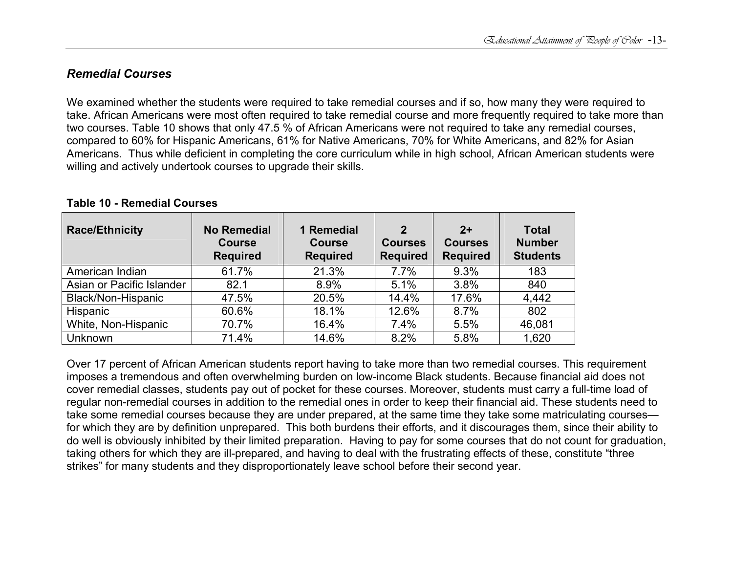### *Remedial Courses*

We examined whether the students were required to take remedial courses and if so, how many they were required to take. African Americans were most often required to take remedial course and more frequently required to take more than two courses. Table 10 shows that only 47.5 % of African Americans were not required to take any remedial courses, compared to 60% for Hispanic Americans, 61% for Native Americans, 70% for White Americans, and 82% for Asian Americans. Thus while deficient in completing the core curriculum while in high school, African American students were willing and actively undertook courses to upgrade their skills.

| <b>Race/Ethnicity</b>     | <b>No Remedial</b><br><b>Course</b><br><b>Required</b> | 1 Remedial<br><b>Course</b><br><b>Required</b> | $\mathbf 2$<br><b>Courses</b><br><b>Required</b> | $2+$<br><b>Courses</b><br><b>Required</b> | <b>Total</b><br><b>Number</b><br><b>Students</b> |
|---------------------------|--------------------------------------------------------|------------------------------------------------|--------------------------------------------------|-------------------------------------------|--------------------------------------------------|
| American Indian           | 61.7%                                                  | 21.3%                                          | 7.7%                                             | 9.3%                                      | 183                                              |
| Asian or Pacific Islander | 82.1                                                   | 8.9%                                           | 5.1%                                             | 3.8%                                      | 840                                              |
| Black/Non-Hispanic        | 47.5%                                                  | 20.5%                                          | 14.4%                                            | 17.6%                                     | 4,442                                            |
| Hispanic                  | 60.6%                                                  | 18.1%                                          | 12.6%                                            | 8.7%                                      | 802                                              |
| White, Non-Hispanic       | 70.7%                                                  | 16.4%                                          | 7.4%                                             | 5.5%                                      | 46,081                                           |
| Unknown                   | 71.4%                                                  | 14.6%                                          | 8.2%                                             | 5.8%                                      | 1,620                                            |

#### **Table 10 - Remedial Courses**

Over 17 percent of African American students report having to take more than two remedial courses. This requirement imposes a tremendous and often overwhelming burden on low-income Black students. Because financial aid does not cover remedial classes, students pay out of pocket for these courses. Moreover, students must carry a full-time load of regular non-remedial courses in addition to the remedial ones in order to keep their financial aid. These students need to take some remedial courses because they are under prepared, at the same time they take some matriculating courses for which they are by definition unprepared. This both burdens their efforts, and it discourages them, since their ability to do well is obviously inhibited by their limited preparation. Having to pay for some courses that do not count for graduation, taking others for which they are ill-prepared, and having to deal with the frustrating effects of these, constitute "three strikes" for many students and they disproportionately leave school before their second year.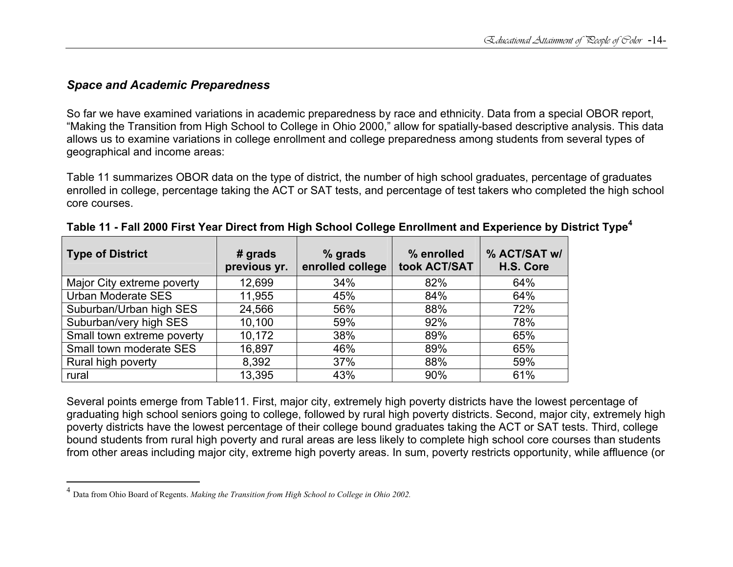### *Space and Academic Preparedness*

So far we have examined variations in academic preparedness by race and ethnicity. Data from a special OBOR report, "Making the Transition from High School to College in Ohio 2000," allow for spatially-based descriptive analysis. This data allows us to examine variations in college enrollment and college preparedness among students from several types of geographical and income areas:

Table 11 summarizes OBOR data on the type of district, the number of high school graduates, percentage of graduates enrolled in college, percentage taking the ACT or SAT tests, and percentage of test takers who completed the high school core courses.

| <b>Type of District</b>    | $#$ grads<br>previous yr. | % grads<br>enrolled college<br>took ACT/SAT |     | % ACT/SAT w/<br>H.S. Core |
|----------------------------|---------------------------|---------------------------------------------|-----|---------------------------|
| Major City extreme poverty | 12,699                    | 34%                                         | 82% | 64%                       |
| Urban Moderate SES         | 11,955                    | 45%                                         | 84% | 64%                       |
| Suburban/Urban high SES    | 24,566                    | 56%                                         | 88% | 72%                       |
| Suburban/very high SES     | 10,100                    | 59%                                         | 92% | 78%                       |
| Small town extreme poverty | 10,172                    | 38%                                         | 89% | 65%                       |
| Small town moderate SES    | 16,897                    | 46%                                         | 89% | 65%                       |
| Rural high poverty         | 8,392                     | 37%                                         | 88% | 59%                       |
| rural                      | 13,395                    | 43%                                         | 90% | 61%                       |

| "Table 11 - Fall 2000 First Year Direct from High School College Enrollment and Experience by District Type |  |  |
|-------------------------------------------------------------------------------------------------------------|--|--|

Several points emerge from Table11. First, major city, extremely high poverty districts have the lowest percentage of graduating high school seniors going to college, followed by rural high poverty districts. Second, major city, extremely high poverty districts have the lowest percentage of their college bound graduates taking the ACT or SAT tests. Third, college bound students from rural high poverty and rural areas are less likely to complete high school core courses than students from other areas including major city, extreme high poverty areas. In sum, poverty restricts opportunity, while affluence (or

<sup>4</sup> Data from Ohio Board of Regents. *Making the Transition from High School to College in Ohio 2002.*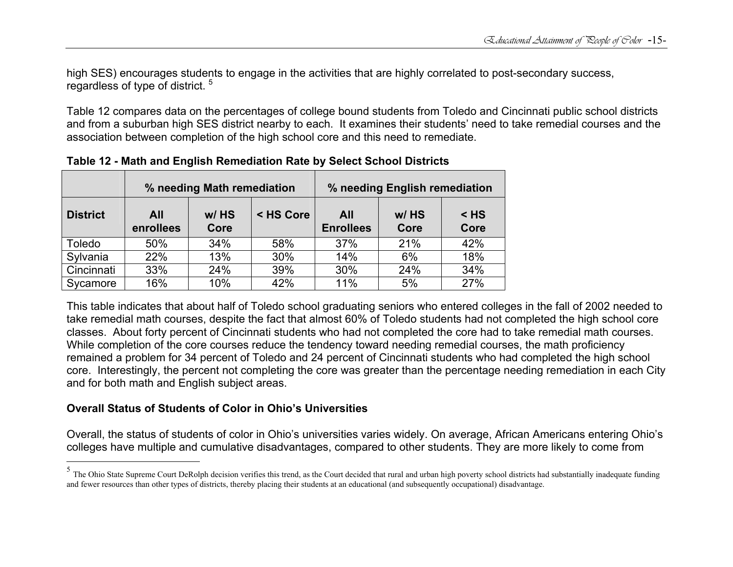high SES) encourages students to engage in the activities that are highly correlated to post-secondary success, regardless of type of district.<sup>5</sup>

Table 12 compares data on the percentages of college bound students from Toledo and Cincinnati public school districts and from a suburban high SES district nearby to each. It examines their students' need to take remedial courses and the association between completion of the high school core and this need to remediate.

|                 | % needing Math remediation |                 |           |                         | % needing English remediation |                |
|-----------------|----------------------------|-----------------|-----------|-------------------------|-------------------------------|----------------|
| <b>District</b> | All<br>enrollees           | $W/$ HS<br>Core | < HS Core | All<br><b>Enrollees</b> | w/HS<br>Core                  | $<$ HS<br>Core |
| Toledo          | 50%                        | 34%             | 58%       | 37%                     | 21%                           | 42%            |
| Sylvania        | 22%                        | 13%             | 30%       | 14%                     | 6%                            | 18%            |
| Cincinnati      | 33%                        | 24%             | 39%       | 30%                     | 24%                           | 34%            |
| Sycamore        | 16%                        | 10%             | 42%       | 11%                     | 5%                            | 27%            |

**Table 12 - Math and English Remediation Rate by Select School Districts** 

This table indicates that about half of Toledo school graduating seniors who entered colleges in the fall of 2002 needed to take remedial math courses, despite the fact that almost 60% of Toledo students had not completed the high school core classes. About forty percent of Cincinnati students who had not completed the core had to take remedial math courses. While completion of the core courses reduce the tendency toward needing remedial courses, the math proficiency remained a problem for 34 percent of Toledo and 24 percent of Cincinnati students who had completed the high school core. Interestingly, the percent not completing the core was greater than the percentage needing remediation in each City and for both math and English subject areas.

#### **Overall Status of Students of Color in Ohio's Universities**

Overall, the status of students of color in Ohio's universities varies widely. On average, African Americans entering Ohio's colleges have multiple and cumulative disadvantages, compared to other students. They are more likely to come from

 $<sup>5</sup>$  The Ohio State Supreme Court DeRolph decision verifies this trend, as the Court decided that rural and urban high poverty school districts had substantially inadequate funding</sup> and fewer resources than other types of districts, thereby placing their students at an educational (and subsequently occupational) disadvantage.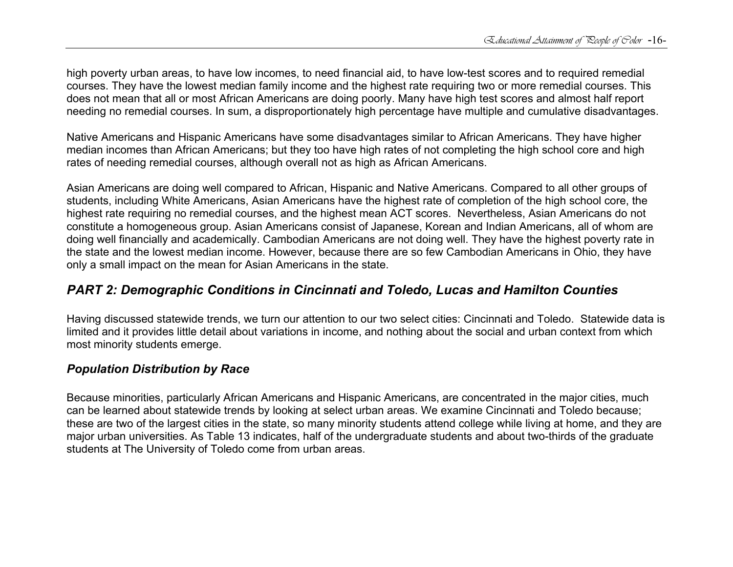high poverty urban areas, to have low incomes, to need financial aid, to have low-test scores and to required remedial courses. They have the lowest median family income and the highest rate requiring two or more remedial courses. This does not mean that all or most African Americans are doing poorly. Many have high test scores and almost half report needing no remedial courses. In sum, a disproportionately high percentage have multiple and cumulative disadvantages.

Native Americans and Hispanic Americans have some disadvantages similar to African Americans. They have higher median incomes than African Americans; but they too have high rates of not completing the high school core and high rates of needing remedial courses, although overall not as high as African Americans.

Asian Americans are doing well compared to African, Hispanic and Native Americans. Compared to all other groups of students, including White Americans, Asian Americans have the highest rate of completion of the high school core, the highest rate requiring no remedial courses, and the highest mean ACT scores. Nevertheless, Asian Americans do not constitute a homogeneous group. Asian Americans consist of Japanese, Korean and Indian Americans, all of whom are doing well financially and academically. Cambodian Americans are not doing well. They have the highest poverty rate in the state and the lowest median income. However, because there are so few Cambodian Americans in Ohio, they have only a small impact on the mean for Asian Americans in the state.

# *PART 2: Demographic Conditions in Cincinnati and Toledo, Lucas and Hamilton Counties*

Having discussed statewide trends, we turn our attention to our two select cities: Cincinnati and Toledo. Statewide data is limited and it provides little detail about variations in income, and nothing about the social and urban context from which most minority students emerge.

### *Population Distribution by Race*

Because minorities, particularly African Americans and Hispanic Americans, are concentrated in the major cities, much can be learned about statewide trends by looking at select urban areas. We examine Cincinnati and Toledo because; these are two of the largest cities in the state, so many minority students attend college while living at home, and they are major urban universities. As Table 13 indicates, half of the undergraduate students and about two-thirds of the graduate students at The University of Toledo come from urban areas.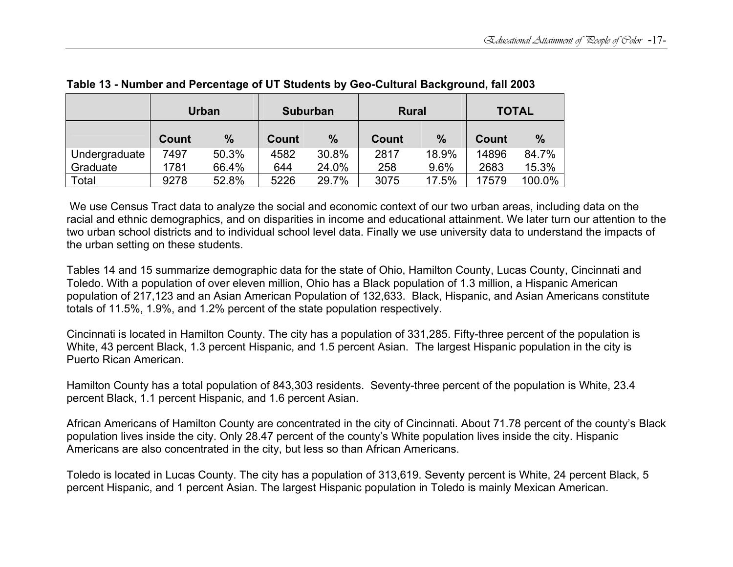|               | Urban |       | <b>Suburban</b> |       | <b>Rural</b> |               | <b>TOTAL</b> |               |
|---------------|-------|-------|-----------------|-------|--------------|---------------|--------------|---------------|
|               | Count | $\%$  | <b>Count</b>    | $\%$  | <b>Count</b> | $\frac{9}{6}$ | <b>Count</b> | $\frac{0}{0}$ |
| Undergraduate | 7497  | 50.3% | 4582            | 30.8% | 2817         | 18.9%         | 14896        | 84.7%         |
| Graduate      | 1781  | 66.4% | 644             | 24.0% | 258          | 9.6%          | 2683         | 15.3%         |
| Total         | 9278  | 52.8% | 5226            | 29.7% | 3075         | 17.5%         | 17579        | 100.0%        |

**Table 13 - Number and Percentage of UT Students by Geo-Cultural Background, fall 2003** 

 We use Census Tract data to analyze the social and economic context of our two urban areas, including data on the racial and ethnic demographics, and on disparities in income and educational attainment. We later turn our attention to the two urban school districts and to individual school level data. Finally we use university data to understand the impacts of the urban setting on these students.

Tables 14 and 15 summarize demographic data for the state of Ohio, Hamilton County, Lucas County, Cincinnati and Toledo. With a population of over eleven million, Ohio has a Black population of 1.3 million, a Hispanic American population of 217,123 and an Asian American Population of 132,633. Black, Hispanic, and Asian Americans constitute totals of 11.5%, 1.9%, and 1.2% percent of the state population respectively.

Cincinnati is located in Hamilton County. The city has a population of 331,285. Fifty-three percent of the population is White, 43 percent Black, 1.3 percent Hispanic, and 1.5 percent Asian. The largest Hispanic population in the city is Puerto Rican American.

Hamilton County has a total population of 843,303 residents. Seventy-three percent of the population is White, 23.4 percent Black, 1.1 percent Hispanic, and 1.6 percent Asian.

African Americans of Hamilton County are concentrated in the city of Cincinnati. About 71.78 percent of the county's Black population lives inside the city. Only 28.47 percent of the county's White population lives inside the city. Hispanic Americans are also concentrated in the city, but less so than African Americans.

Toledo is located in Lucas County. The city has a population of 313,619. Seventy percent is White, 24 percent Black, 5 percent Hispanic, and 1 percent Asian. The largest Hispanic population in Toledo is mainly Mexican American.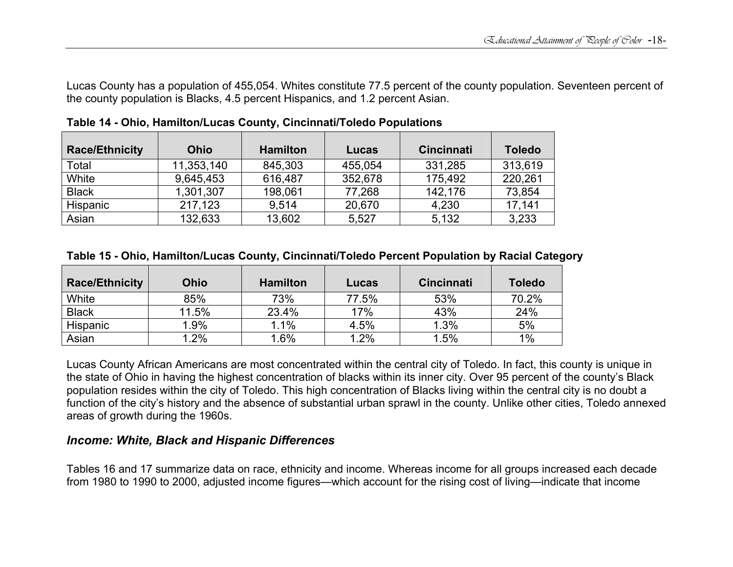Lucas County has a population of 455,054. Whites constitute 77.5 percent of the county population. Seventeen percent of the county population is Blacks, 4.5 percent Hispanics, and 1.2 percent Asian.

| <b>Race/Ethnicity</b> | <b>Ohio</b> | <b>Hamilton</b> | Lucas   | <b>Cincinnati</b> | <b>Toledo</b> |
|-----------------------|-------------|-----------------|---------|-------------------|---------------|
| Total                 | 11,353,140  | 845,303         | 455,054 | 331,285           | 313,619       |
| White                 | 9,645,453   | 616,487         | 352,678 | 175,492           | 220,261       |
| <b>Black</b>          | 1,301,307   | 198,061         | 77,268  | 142,176           | 73,854        |
| Hispanic              | 217,123     | 9.514           | 20,670  | 4,230             | 17,141        |
| Asian                 | 132,633     | 13,602          | 5,527   | 5,132             | 3,233         |

**Table 14 - Ohio, Hamilton/Lucas County, Cincinnati/Toledo Populations** 

### **Table 15 - Ohio, Hamilton/Lucas County, Cincinnati/Toledo Percent Population by Racial Category**

| <b>Race/Ethnicity</b> | <b>Ohio</b> | <b>Hamilton</b> | Lucas | <b>Cincinnati</b> | <b>Toledo</b> |
|-----------------------|-------------|-----------------|-------|-------------------|---------------|
| White                 | 85%         | 73%             | 77.5% | 53%               | 70.2%         |
| <b>Black</b>          | 11.5%       | 23.4%           | 17%   | 43%               | 24%           |
| Hispanic              | 1.9%        | 1.1%            | 4.5%  | 1.3%              | 5%            |
| Asian                 | 1.2%        | .6%             | 1.2%  | 1.5%              | 1%            |

Lucas County African Americans are most concentrated within the central city of Toledo. In fact, this county is unique in the state of Ohio in having the highest concentration of blacks within its inner city. Over 95 percent of the county's Black population resides within the city of Toledo. This high concentration of Blacks living within the central city is no doubt a function of the city's history and the absence of substantial urban sprawl in the county. Unlike other cities, Toledo annexed areas of growth during the 1960s.

### *Income: White, Black and Hispanic Differences*

Tables 16 and 17 summarize data on race, ethnicity and income. Whereas income for all groups increased each decade from 1980 to 1990 to 2000, adjusted income figures—which account for the rising cost of living—indicate that income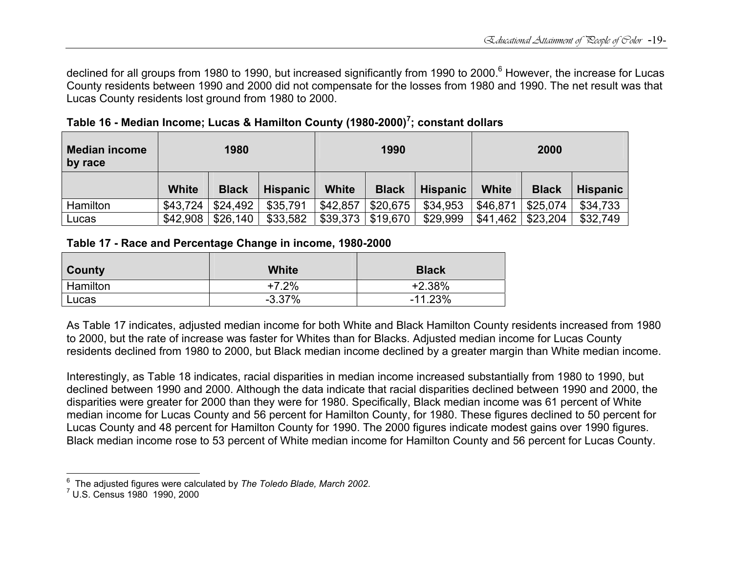declined for all groups from 1980 to 1990, but increased significantly from 1990 to 2000.<sup>6</sup> However, the increase for Lucas County residents between 1990 and 2000 did not compensate for the losses from 1980 and 1990. The net result was that Lucas County residents lost ground from 1980 to 2000.

| <b>Median income</b><br>by race | 1980         |              | 1990            |              |              | 2000     |          |              |          |
|---------------------------------|--------------|--------------|-----------------|--------------|--------------|----------|----------|--------------|----------|
|                                 | <b>White</b> | <b>Black</b> | <b>Hispanic</b> | <b>White</b> | <b>Black</b> | Hispanic | White    | <b>Black</b> | Hispanic |
| Hamilton                        | \$43,724     | \$24,492     | \$35,791        | \$42,857     | \$20,675     | \$34,953 | \$46,871 | \$25,074     | \$34,733 |
| Lucas                           | \$42,908     | \$26,140     | \$33,582        | \$39,373     | \$19,670     | \$29,999 | \$41,462 | \$23,204     | \$32,749 |

**Table 16 - Median Income; Lucas & Hamilton County (1980-2000)7; constant dollars** 

### **Table 17 - Race and Percentage Change in income, 1980-2000**

| County          | <b>White</b> | <b>Black</b> |
|-----------------|--------------|--------------|
| <b>Hamilton</b> | +7.2%        | +2.38%       |
| Lucas           | $-3.37%$     | $-11.23%$    |

As Table 17 indicates, adjusted median income for both White and Black Hamilton County residents increased from 1980 to 2000, but the rate of increase was faster for Whites than for Blacks. Adjusted median income for Lucas County residents declined from 1980 to 2000, but Black median income declined by a greater margin than White median income.

Interestingly, as Table 18 indicates, racial disparities in median income increased substantially from 1980 to 1990, but declined between 1990 and 2000. Although the data indicate that racial disparities declined between 1990 and 2000, the disparities were greater for 2000 than they were for 1980. Specifically, Black median income was 61 percent of White median income for Lucas County and 56 percent for Hamilton County, for 1980. These figures declined to 50 percent for Lucas County and 48 percent for Hamilton County for 1990. The 2000 figures indicate modest gains over 1990 figures. Black median income rose to 53 percent of White median income for Hamilton County and 56 percent for Lucas County.

<sup>6</sup> The adjusted figures were calculated by *The Toledo Blade, March 2002*. 7 U.S. Census 1980 1990, 2000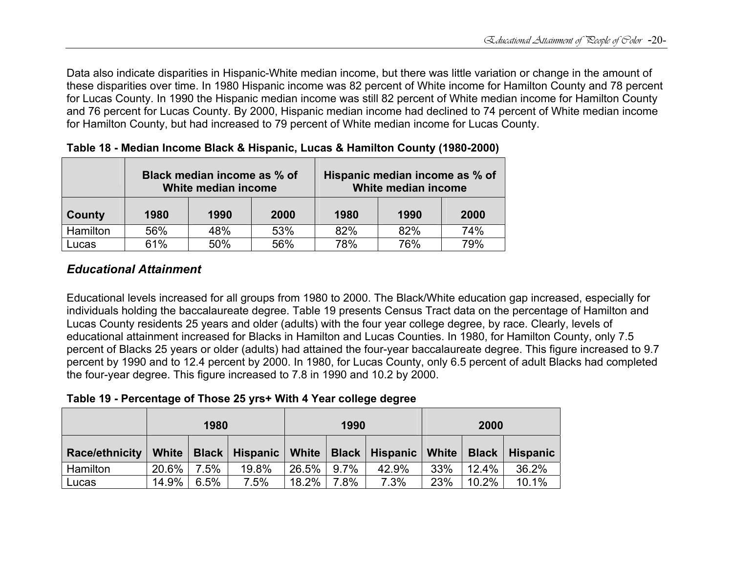Data also indicate disparities in Hispanic-White median income, but there was little variation or change in the amount of these disparities over time. In 1980 Hispanic income was 82 percent of White income for Hamilton County and 78 percent for Lucas County. In 1990 the Hispanic median income was still 82 percent of White median income for Hamilton County and 76 percent for Lucas County. By 2000, Hispanic median income had declined to 74 percent of White median income for Hamilton County, but had increased to 79 percent of White median income for Lucas County.

|          | Black median income as % of<br>White median income |      |      |      | Hispanic median income as % of<br>White median income |      |
|----------|----------------------------------------------------|------|------|------|-------------------------------------------------------|------|
| County   | 1980                                               | 1990 | 2000 | 1980 | 1990                                                  | 2000 |
| Hamilton | 56%                                                | 48%  | 53%  | 82%  | 82%                                                   | 74%  |
| Lucas    | 61%                                                | 50%  | 56%  | 78%  | 76%                                                   | 79%  |

### **Table 18 - Median Income Black & Hispanic, Lucas & Hamilton County (1980-2000)**

# *Educational Attainment*

Educational levels increased for all groups from 1980 to 2000. The Black/White education gap increased, especially for individuals holding the baccalaureate degree. Table 19 presents Census Tract data on the percentage of Hamilton and Lucas County residents 25 years and older (adults) with the four year college degree, by race. Clearly, levels of educational attainment increased for Blacks in Hamilton and Lucas Counties. In 1980, for Hamilton County, only 7.5 percent of Blacks 25 years or older (adults) had attained the four-year baccalaureate degree. This figure increased to 9.7 percent by 1990 and to 12.4 percent by 2000. In 1980, for Lucas County, only 6.5 percent of adult Blacks had completed the four-year degree. This figure increased to 7.8 in 1990 and 10.2 by 2000.

**Table 19 - Percentage of Those 25 yrs+ With 4 Year college degree** 

|                                                                                                 | 1980     |              | 1990  |                  | 2000 |       |     |          |       |
|-------------------------------------------------------------------------------------------------|----------|--------------|-------|------------------|------|-------|-----|----------|-------|
| Race/ethnicity   White   Black   Hispanic   White   Black   Hispanic   White   Black   Hispanic |          |              |       |                  |      |       |     |          |       |
| Hamilton                                                                                        | $20.6\%$ | 7.5%         | 19.8% | $ 26.5\% 9.7\% $ |      | 42.9% | 33% | 12.4% l  | 36.2% |
| Lucas                                                                                           |          | 14.9%   6.5% | 7.5%  | $18.2\%$ 7.8%    |      | 7.3%  | 23% | $10.2\%$ | 10.1% |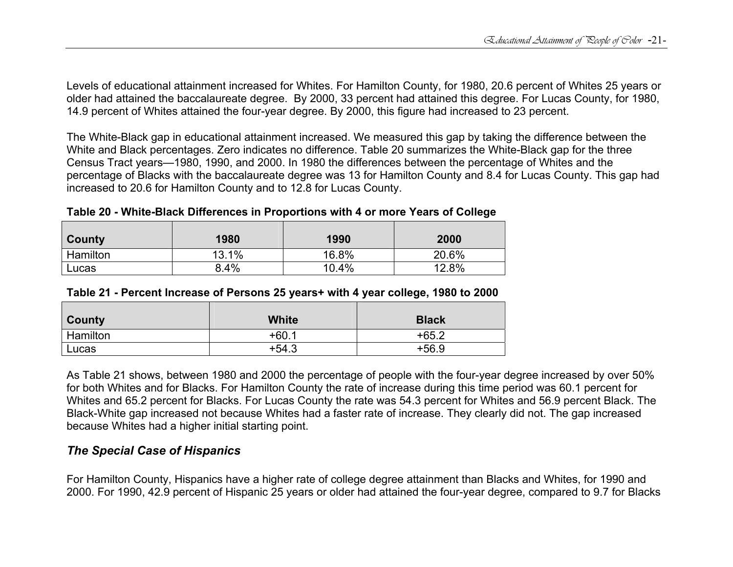Levels of educational attainment increased for Whites. For Hamilton County, for 1980, 20.6 percent of Whites 25 years or older had attained the baccalaureate degree. By 2000, 33 percent had attained this degree. For Lucas County, for 1980, 14.9 percent of Whites attained the four-year degree. By 2000, this figure had increased to 23 percent.

The White-Black gap in educational attainment increased. We measured this gap by taking the difference between the White and Black percentages. Zero indicates no difference. Table 20 summarizes the White-Black gap for the three Census Tract years—1980, 1990, and 2000. In 1980 the differences between the percentage of Whites and the percentage of Blacks with the baccalaureate degree was 13 for Hamilton County and 8.4 for Lucas County. This gap had increased to 20.6 for Hamilton County and to 12.8 for Lucas County.

**Table 20 - White-Black Differences in Proportions with 4 or more Years of College** 

| County   | 1980  | 1990  | 2000  |
|----------|-------|-------|-------|
| Hamilton | 13.1% | 16.8% | 20.6% |
| Lucas    | 8.4%  | 10.4% | 12.8% |

| Table 21 - Percent Increase of Persons 25 years+ with 4 year college, 1980 to 2000 |  |  |
|------------------------------------------------------------------------------------|--|--|
|------------------------------------------------------------------------------------|--|--|

| County   | White   | <b>Black</b> |
|----------|---------|--------------|
| Hamilton | $+60.1$ | $+65.2$      |
| Lucas    | $+54.3$ | $+56.9$      |

As Table 21 shows, between 1980 and 2000 the percentage of people with the four-year degree increased by over 50% for both Whites and for Blacks. For Hamilton County the rate of increase during this time period was 60.1 percent for Whites and 65.2 percent for Blacks. For Lucas County the rate was 54.3 percent for Whites and 56.9 percent Black. The Black-White gap increased not because Whites had a faster rate of increase. They clearly did not. The gap increased because Whites had a higher initial starting point.

### *The Special Case of Hispanics*

For Hamilton County, Hispanics have a higher rate of college degree attainment than Blacks and Whites, for 1990 and 2000. For 1990, 42.9 percent of Hispanic 25 years or older had attained the four-year degree, compared to 9.7 for Blacks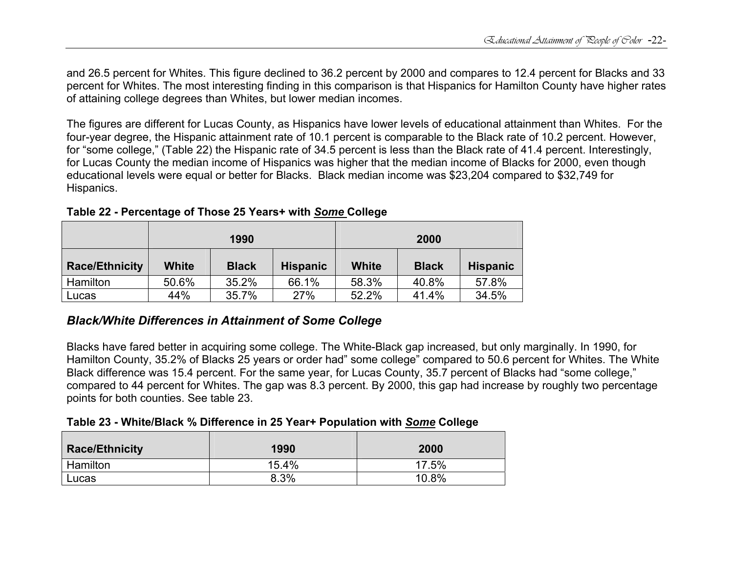and 26.5 percent for Whites. This figure declined to 36.2 percent by 2000 and compares to 12.4 percent for Blacks and 33 percent for Whites. The most interesting finding in this comparison is that Hispanics for Hamilton County have higher rates of attaining college degrees than Whites, but lower median incomes.

The figures are different for Lucas County, as Hispanics have lower levels of educational attainment than Whites. For the four-year degree, the Hispanic attainment rate of 10.1 percent is comparable to the Black rate of 10.2 percent. However, for "some college," (Table 22) the Hispanic rate of 34.5 percent is less than the Black rate of 41.4 percent. Interestingly, for Lucas County the median income of Hispanics was higher that the median income of Blacks for 2000, even though educational levels were equal or better for Blacks. Black median income was \$23,204 compared to \$32,749 for Hispanics.

|                       | 1990  |              |                 | 2000         |              |                 |  |
|-----------------------|-------|--------------|-----------------|--------------|--------------|-----------------|--|
| <b>Race/Ethnicity</b> | White | <b>Black</b> | <b>Hispanic</b> | <b>White</b> | <b>Black</b> | <b>Hispanic</b> |  |
| Hamilton              | 50.6% | 35.2%        | 66.1%           | 58.3%        | 40.8%        | 57.8%           |  |
| Lucas                 | 44%   | 35.7%        | 27%             | 52.2%        | 41.4%        | 34.5%           |  |

**Table 22 - Percentage of Those 25 Years+ with** *Some* **College** 

### *Black/White Differences in Attainment of Some College*

Blacks have fared better in acquiring some college. The White-Black gap increased, but only marginally. In 1990, for Hamilton County, 35.2% of Blacks 25 years or order had" some college" compared to 50.6 percent for Whites. The White Black difference was 15.4 percent. For the same year, for Lucas County, 35.7 percent of Blacks had "some college," compared to 44 percent for Whites. The gap was 8.3 percent. By 2000, this gap had increase by roughly two percentage points for both counties. See table 23.

**Table 23 - White/Black % Difference in 25 Year+ Population with** *Some* **College** 

| <b>Race/Ethnicity</b> | 1990  | 2000  |
|-----------------------|-------|-------|
| Hamilton              | 15.4% | 17.5% |
| Lucas                 | 8.3%  | 10.8% |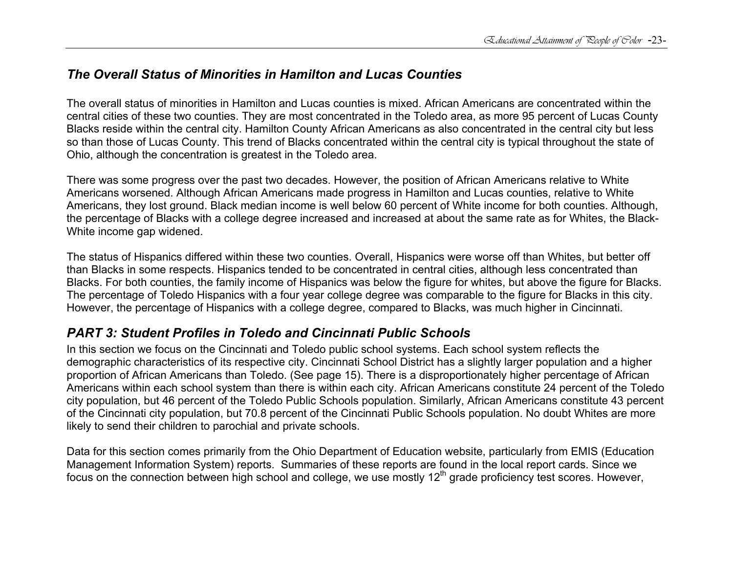# *The Overall Status of Minorities in Hamilton and Lucas Counties*

The overall status of minorities in Hamilton and Lucas counties is mixed. African Americans are concentrated within the central cities of these two counties. They are most concentrated in the Toledo area, as more 95 percent of Lucas County Blacks reside within the central city. Hamilton County African Americans as also concentrated in the central city but less so than those of Lucas County. This trend of Blacks concentrated within the central city is typical throughout the state of Ohio, although the concentration is greatest in the Toledo area.

There was some progress over the past two decades. However, the position of African Americans relative to White Americans worsened. Although African Americans made progress in Hamilton and Lucas counties, relative to White Americans, they lost ground. Black median income is well below 60 percent of White income for both counties. Although, the percentage of Blacks with a college degree increased and increased at about the same rate as for Whites, the Black-White income gap widened.

The status of Hispanics differed within these two counties. Overall, Hispanics were worse off than Whites, but better off than Blacks in some respects. Hispanics tended to be concentrated in central cities, although less concentrated than Blacks. For both counties, the family income of Hispanics was below the figure for whites, but above the figure for Blacks. The percentage of Toledo Hispanics with a four year college degree was comparable to the figure for Blacks in this city. However, the percentage of Hispanics with a college degree, compared to Blacks, was much higher in Cincinnati.

# *PART 3: Student Profiles in Toledo and Cincinnati Public Schools*

In this section we focus on the Cincinnati and Toledo public school systems. Each school system reflects the demographic characteristics of its respective city. Cincinnati School District has a slightly larger population and a higher proportion of African Americans than Toledo. (See page 15). There is a disproportionately higher percentage of African Americans within each school system than there is within each city. African Americans constitute 24 percent of the Toledo city population, but 46 percent of the Toledo Public Schools population. Similarly, African Americans constitute 43 percent of the Cincinnati city population, but 70.8 percent of the Cincinnati Public Schools population. No doubt Whites are more likely to send their children to parochial and private schools.

Data for this section comes primarily from the Ohio Department of Education website, particularly from EMIS (Education Management Information System) reports. Summaries of these reports are found in the local report cards. Since we focus on the connection between high school and college, we use mostly  $12<sup>th</sup>$  grade proficiency test scores. However,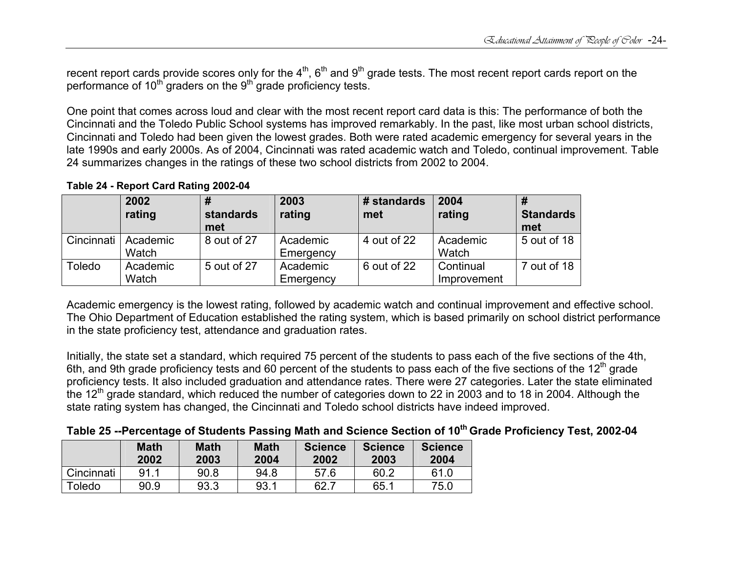recent report cards provide scores only for the  $4^{\text{th}}$ ,  $6^{\text{th}}$  and  $9^{\text{th}}$  grade tests. The most recent report cards report on the performance of  $10<sup>th</sup>$  graders on the  $9<sup>th</sup>$  grade proficiency tests.

One point that comes across loud and clear with the most recent report card data is this: The performance of both the Cincinnati and the Toledo Public School systems has improved remarkably. In the past, like most urban school districts, Cincinnati and Toledo had been given the lowest grades. Both were rated academic emergency for several years in the late 1990s and early 2000s. As of 2004, Cincinnati was rated academic watch and Toledo, continual improvement. Table 24 summarizes changes in the ratings of these two school districts from 2002 to 2004.

**Table 24 - Report Card Rating 2002-04**

|            | 2002<br>rating    | standards<br>met | 2003<br>rating        | # standards<br>met | 2004<br>rating           | <b>Standards</b><br>met |
|------------|-------------------|------------------|-----------------------|--------------------|--------------------------|-------------------------|
| Cincinnati | Academic<br>Watch | 8 out of 27      | Academic<br>Emergency | 4 out of 22        | Academic<br>Watch        | 5 out of 18             |
| Toledo     | Academic<br>Watch | 5 out of 27      | Academic<br>Emergency | 6 out of 22        | Continual<br>Improvement | 7 out of 18             |

Academic emergency is the lowest rating, followed by academic watch and continual improvement and effective school. The Ohio Department of Education established the rating system, which is based primarily on school district performance in the state proficiency test, attendance and graduation rates.

Initially, the state set a standard, which required 75 percent of the students to pass each of the five sections of the 4th, 6th, and 9th grade proficiency tests and 60 percent of the students to pass each of the five sections of the  $12<sup>th</sup>$  grade proficiency tests. It also included graduation and attendance rates. There were 27 categories. Later the state eliminated the 12<sup>th</sup> grade standard, which reduced the number of categories down to 22 in 2003 and to 18 in 2004. Although the state rating system has changed, the Cincinnati and Toledo school districts have indeed improved.

|  | Table 25 --Percentage of Students Passing Math and Science Section of 10 <sup>th</sup> Grade Proficiency Test, 2002-04 |  |
|--|------------------------------------------------------------------------------------------------------------------------|--|
|--|------------------------------------------------------------------------------------------------------------------------|--|

|            | <b>Math</b><br>2002 | <b>Math</b><br>2003 | <b>Math</b><br>2004 | <b>Science</b><br>2002 | <b>Science</b><br>2003 | <b>Science</b><br>2004 |
|------------|---------------------|---------------------|---------------------|------------------------|------------------------|------------------------|
| Cincinnati | 91                  | 90.8                | 94.8                | 57.6                   | 60.2                   | 61 O                   |
| Toledo     | 90.9                | 93.3                | 93.1                | 62.7                   | 65.1                   | 75.0                   |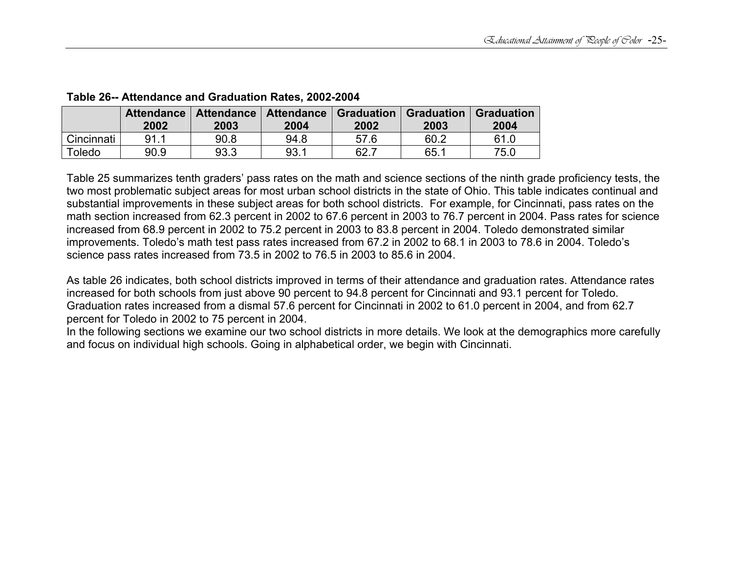|            | <b>Attendance</b><br>2002 | 2003 | Attendance   Attendance   Graduation   Graduation<br>2004 | 2002 | 2003 | <b>Graduation</b><br>2004 |
|------------|---------------------------|------|-----------------------------------------------------------|------|------|---------------------------|
| Cincinnati | 911                       | 90.8 | 94.8                                                      | 57.6 | 60.2 | 61.0                      |
| Toledo     | 90.9                      | 93.3 | 93.1                                                      | 62.7 | 65.1 | 75.0                      |

### **Table 26-- Attendance and Graduation Rates, 2002-2004**

Table 25 summarizes tenth graders' pass rates on the math and science sections of the ninth grade proficiency tests, the two most problematic subject areas for most urban school districts in the state of Ohio. This table indicates continual and substantial improvements in these subject areas for both school districts. For example, for Cincinnati, pass rates on the math section increased from 62.3 percent in 2002 to 67.6 percent in 2003 to 76.7 percent in 2004. Pass rates for science increased from 68.9 percent in 2002 to 75.2 percent in 2003 to 83.8 percent in 2004. Toledo demonstrated similar improvements. Toledo's math test pass rates increased from 67.2 in 2002 to 68.1 in 2003 to 78.6 in 2004. Toledo's science pass rates increased from 73.5 in 2002 to 76.5 in 2003 to 85.6 in 2004.

As table 26 indicates, both school districts improved in terms of their attendance and graduation rates. Attendance rates increased for both schools from just above 90 percent to 94.8 percent for Cincinnati and 93.1 percent for Toledo. Graduation rates increased from a dismal 57.6 percent for Cincinnati in 2002 to 61.0 percent in 2004, and from 62.7 percent for Toledo in 2002 to 75 percent in 2004.

In the following sections we examine our two school districts in more details. We look at the demographics more carefully and focus on individual high schools. Going in alphabetical order, we begin with Cincinnati.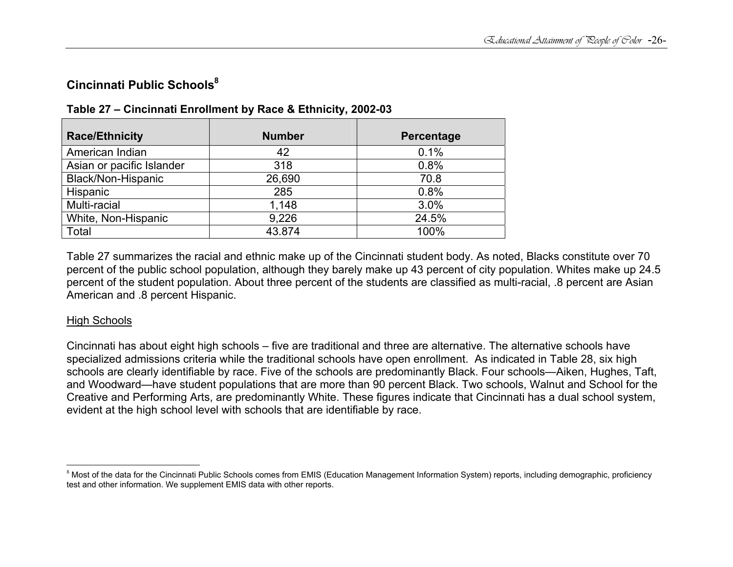# **Cincinnati Public Schools<sup>8</sup>**

| <b>Race/Ethnicity</b>     | <b>Number</b> | Percentage |
|---------------------------|---------------|------------|
| American Indian           | 42            | 0.1%       |
| Asian or pacific Islander | 318           | 0.8%       |
| Black/Non-Hispanic        | 26,690        | 70.8       |
| Hispanic                  | 285           | 0.8%       |
| Multi-racial              | 1,148         | 3.0%       |
| White, Non-Hispanic       | 9,226         | 24.5%      |
| Total                     | 43.874        | 100%       |

### **Table 27 – Cincinnati Enrollment by Race & Ethnicity, 2002-03**

Table 27 summarizes the racial and ethnic make up of the Cincinnati student body. As noted, Blacks constitute over 70 percent of the public school population, although they barely make up 43 percent of city population. Whites make up 24.5 percent of the student population. About three percent of the students are classified as multi-racial, .8 percent are Asian American and .8 percent Hispanic.

### High Schools

Cincinnati has about eight high schools – five are traditional and three are alternative. The alternative schools have specialized admissions criteria while the traditional schools have open enrollment. As indicated in Table 28, six high schools are clearly identifiable by race. Five of the schools are predominantly Black. Four schools—Aiken, Hughes, Taft, and Woodward—have student populations that are more than 90 percent Black. Two schools, Walnut and School for the Creative and Performing Arts, are predominantly White. These figures indicate that Cincinnati has a dual school system, evident at the high school level with schools that are identifiable by race.

 $^8$  Most of the data for the Cincinnati Public Schools comes from EMIS (Education Management Information System) reports, including demographic, proficiency test and other information. We supplement EMIS data with other reports.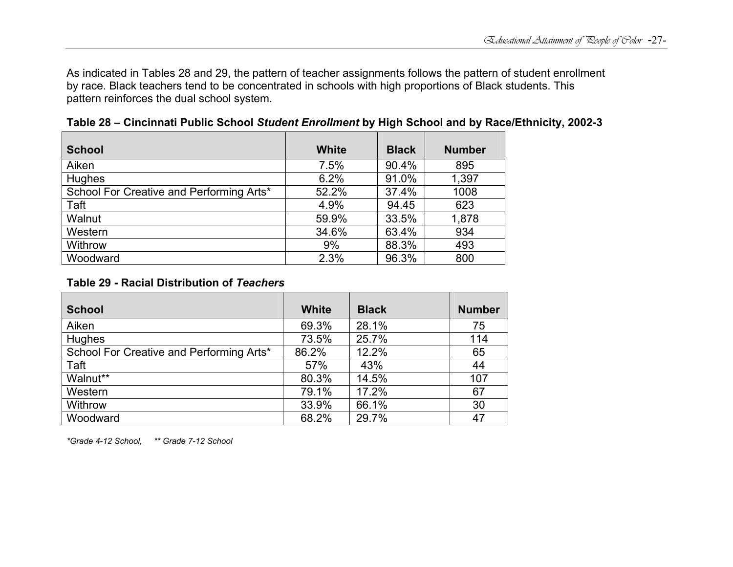As indicated in Tables 28 and 29, the pattern of teacher assignments follows the pattern of student enrollment by race. Black teachers tend to be concentrated in schools with high proportions of Black students. This pattern reinforces the dual school system.

| <b>School</b>                            | White | <b>Black</b> | <b>Number</b> |
|------------------------------------------|-------|--------------|---------------|
| Aiken                                    | 7.5%  | 90.4%        | 895           |
| <b>Hughes</b>                            | 6.2%  | 91.0%        | 1,397         |
| School For Creative and Performing Arts* | 52.2% | 37.4%        | 1008          |
| Taft                                     | 4.9%  | 94.45        | 623           |
| Walnut                                   | 59.9% | 33.5%        | 1,878         |
| Western                                  | 34.6% | 63.4%        | 934           |
| Withrow                                  | 9%    | 88.3%        | 493           |
| Woodward                                 | 2.3%  | 96.3%        | 800           |

**Table 28 – Cincinnati Public School** *Student Enrollment* **by High School and by Race/Ethnicity, 2002-3**

#### **Table 29 - Racial Distribution of** *Teachers*

| <b>School</b>                            | White | <b>Black</b> | <b>Number</b> |
|------------------------------------------|-------|--------------|---------------|
| Aiken                                    | 69.3% | 28.1%        | 75            |
| Hughes                                   | 73.5% | 25.7%        | 114           |
| School For Creative and Performing Arts* | 86.2% | 12.2%        | 65            |
| Taft                                     | 57%   | 43%          | 44            |
| Walnut**                                 | 80.3% | 14.5%        | 107           |
| Western                                  | 79.1% | 17.2%        | 67            |
| Withrow                                  | 33.9% | 66.1%        | 30            |
| Woodward                                 | 68.2% | 29.7%        | 47            |

*\*Grade 4-12 School, \*\* Grade 7-12 School*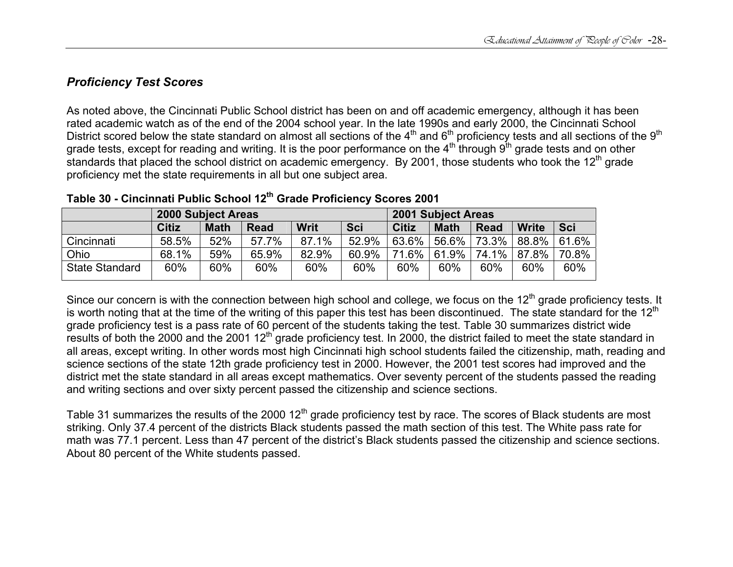### *Proficiency Test Scores*

As noted above, the Cincinnati Public School district has been on and off academic emergency, although it has been rated academic watch as of the end of the 2004 school year. In the late 1990s and early 2000, the Cincinnati School District scored below the state standard on almost all sections of the  $4<sup>th</sup>$  and  $6<sup>th</sup>$  proficiency tests and all sections of the  $9<sup>th</sup>$ grade tests, except for reading and writing. It is the poor performance on the  $4<sup>th</sup>$  through  $9<sup>th</sup>$  grade tests and on other standards that placed the school district on academic emergency. By 2001, those students who took the 12<sup>th</sup> grade proficiency met the state requirements in all but one subject area.

|                       | 2000 Subject Areas |             |             |       | 2001 Subject Areas |              |             |             |              |            |
|-----------------------|--------------------|-------------|-------------|-------|--------------------|--------------|-------------|-------------|--------------|------------|
|                       | <b>Citiz</b>       | <b>Math</b> | <b>Read</b> | Writ  | <b>Sci</b>         | <b>Citiz</b> | <b>Math</b> | <b>Read</b> | <b>Write</b> | <b>Sci</b> |
| Cincinnati            | 58.5%              | 52%         | 57.7%       | 87.1% | 52.9%              | 63.6%        | 56.6% l     | 73.3%       | 88.8%        | 61.6%      |
| Ohio                  | 68.1%              | 59%         | 65.9%       | 82.9% | 60.9%              |              | 71.6% 61.9% | 74.1%       | 87.8%        | 70.8%      |
| <b>State Standard</b> | 60%                | 60%         | 60%         | 60%   | 60%                | 60%          | 60%         | 60%         | 60%          | 60%        |

**Table 30 - Cincinnati Public School 12th Grade Proficiency Scores 2001** 

Since our concern is with the connection between high school and college, we focus on the 12<sup>th</sup> grade proficiency tests. It is worth noting that at the time of the writing of this paper this test has been discontinued. The state standard for the 12<sup>th</sup> grade proficiency test is a pass rate of 60 percent of the students taking the test. Table 30 summarizes district wide results of both the 2000 and the 2001  $12<sup>th</sup>$  grade proficiency test. In 2000, the district failed to meet the state standard in all areas, except writing. In other words most high Cincinnati high school students failed the citizenship, math, reading and science sections of the state 12th grade proficiency test in 2000. However, the 2001 test scores had improved and the district met the state standard in all areas except mathematics. Over seventy percent of the students passed the reading and writing sections and over sixty percent passed the citizenship and science sections.

Table 31 summarizes the results of the 2000  $12<sup>th</sup>$  grade proficiency test by race. The scores of Black students are most striking. Only 37.4 percent of the districts Black students passed the math section of this test. The White pass rate for math was 77.1 percent. Less than 47 percent of the district's Black students passed the citizenship and science sections. About 80 percent of the White students passed.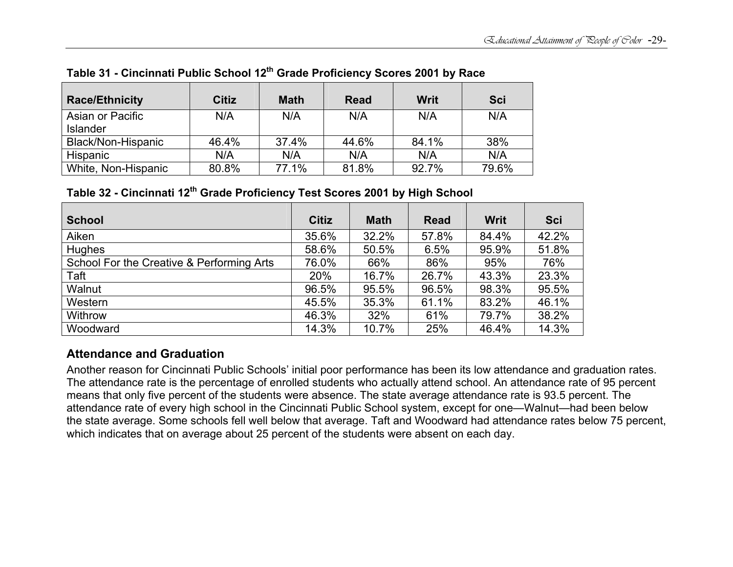| <b>Race/Ethnicity</b> | <b>Citiz</b> | <b>Math</b> | <b>Read</b> | Writ  | <b>Sci</b> |
|-----------------------|--------------|-------------|-------------|-------|------------|
| Asian or Pacific      | N/A          | N/A         | N/A         | N/A   | N/A        |
| <b>Islander</b>       |              |             |             |       |            |
| Black/Non-Hispanic    | 46.4%        | 37.4%       | 44.6%       | 84.1% | 38%        |
| <b>Hispanic</b>       | N/A          | N/A         | N/A         | N/A   | N/A        |
| White, Non-Hispanic   | 80.8%        | 77.1%       | 81.8%       | 92.7% | 79.6%      |

**Table 31 - Cincinnati Public School 12th Grade Proficiency Scores 2001 by Race** 

**Table 32 - Cincinnati 12th Grade Proficiency Test Scores 2001 by High School** 

| <b>School</b>                             | <b>Citiz</b> | <b>Math</b> | <b>Read</b> | <b>Writ</b> | <b>Sci</b> |
|-------------------------------------------|--------------|-------------|-------------|-------------|------------|
| Aiken                                     | 35.6%        | 32.2%       | 57.8%       | 84.4%       | 42.2%      |
| Hughes                                    | 58.6%        | 50.5%       | 6.5%        | 95.9%       | 51.8%      |
| School For the Creative & Performing Arts | 76.0%        | 66%         | 86%         | 95%         | 76%        |
| Taft                                      | 20%          | 16.7%       | 26.7%       | 43.3%       | 23.3%      |
| Walnut                                    | 96.5%        | 95.5%       | 96.5%       | 98.3%       | 95.5%      |
| Western                                   | 45.5%        | 35.3%       | 61.1%       | 83.2%       | 46.1%      |
| Withrow                                   | 46.3%        | 32%         | 61%         | 79.7%       | 38.2%      |
| Woodward                                  | 14.3%        | 10.7%       | 25%         | 46.4%       | 14.3%      |

# **Attendance and Graduation**

Another reason for Cincinnati Public Schools' initial poor performance has been its low attendance and graduation rates. The attendance rate is the percentage of enrolled students who actually attend school. An attendance rate of 95 percent means that only five percent of the students were absence. The state average attendance rate is 93.5 percent. The attendance rate of every high school in the Cincinnati Public School system, except for one—Walnut—had been below the state average. Some schools fell well below that average. Taft and Woodward had attendance rates below 75 percent, which indicates that on average about 25 percent of the students were absent on each day.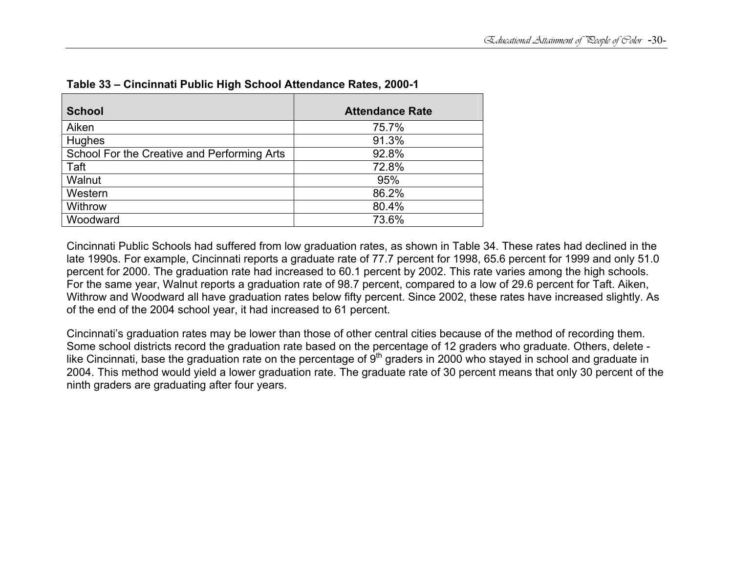| <b>School</b>                               | <b>Attendance Rate</b> |
|---------------------------------------------|------------------------|
| Aiken                                       | 75.7%                  |
| <b>Hughes</b>                               | 91.3%                  |
| School For the Creative and Performing Arts | 92.8%                  |
| Taft                                        | 72.8%                  |
| Walnut                                      | 95%                    |
| Western                                     | 86.2%                  |
| Withrow                                     | 80.4%                  |
| Woodward                                    | 73.6%                  |

| Table 33 - Cincinnati Public High School Attendance Rates, 2000-1 |  |
|-------------------------------------------------------------------|--|
|-------------------------------------------------------------------|--|

Cincinnati Public Schools had suffered from low graduation rates, as shown in Table 34. These rates had declined in the late 1990s. For example, Cincinnati reports a graduate rate of 77.7 percent for 1998, 65.6 percent for 1999 and only 51.0 percent for 2000. The graduation rate had increased to 60.1 percent by 2002. This rate varies among the high schools. For the same year, Walnut reports a graduation rate of 98.7 percent, compared to a low of 29.6 percent for Taft. Aiken, Withrow and Woodward all have graduation rates below fifty percent. Since 2002, these rates have increased slightly. As of the end of the 2004 school year, it had increased to 61 percent.

Cincinnati's graduation rates may be lower than those of other central cities because of the method of recording them. Some school districts record the graduation rate based on the percentage of 12 graders who graduate. Others, delete like Cincinnati, base the graduation rate on the percentage of  $9<sup>th</sup>$  graders in 2000 who stayed in school and graduate in 2004. This method would yield a lower graduation rate. The graduate rate of 30 percent means that only 30 percent of the ninth graders are graduating after four years.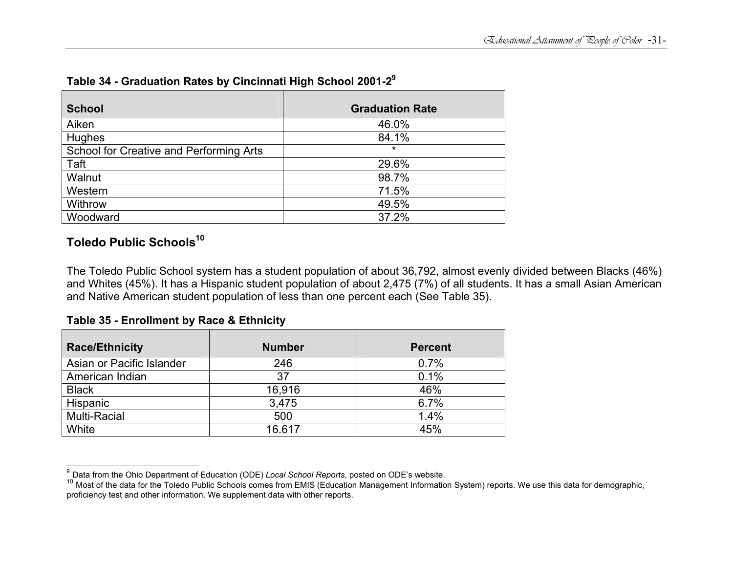| <b>School</b>                           | <b>Graduation Rate</b> |
|-----------------------------------------|------------------------|
| Aiken                                   | 46.0%                  |
| Hughes                                  | 84.1%                  |
| School for Creative and Performing Arts | $\star$                |
| Taft                                    | 29.6%                  |
| Walnut                                  | 98.7%                  |
| Western                                 | 71.5%                  |
| Withrow                                 | 49.5%                  |
| Woodward                                | 37.2%                  |

### **Table 34 - Graduation Rates by Cincinnati High School 2001-2<sup>9</sup>**

# **Toledo Public Schools<sup>10</sup>**

The Toledo Public School system has a student population of about 36,792, almost evenly divided between Blacks (46%) and Whites (45%). It has a Hispanic student population of about 2,475 (7%) of all students. It has a small Asian American and Native American student population of less than one percent each (See Table 35).

### **Table 35 - Enrollment by Race & Ethnicity**

| <b>Race/Ethnicity</b>     | <b>Number</b> | <b>Percent</b> |
|---------------------------|---------------|----------------|
| Asian or Pacific Islander | 246           | 0.7%           |
| American Indian           | 37            | 0.1%           |
| <b>Black</b>              | 16,916        | 46%            |
| Hispanic                  | 3,475         | 6.7%           |
| <b>Multi-Racial</b>       | 500           | 1.4%           |
| White                     | 16.617        | 45%            |

<sup>&</sup>lt;sup>9</sup> Data from the Ohio Department of Education (ODE) *Local School Reports*, posted on ODE's website.<br><sup>10</sup> Most of the data for the Toledo Public Schools comes from EMIS (Education Management Information System) reports. W proficiency test and other information. We supplement data with other reports.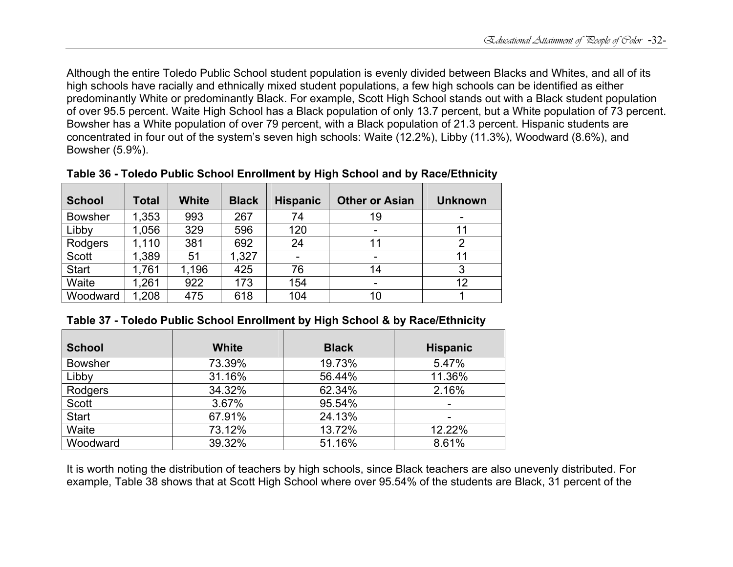Although the entire Toledo Public School student population is evenly divided between Blacks and Whites, and all of its high schools have racially and ethnically mixed student populations, a few high schools can be identified as either predominantly White or predominantly Black. For example, Scott High School stands out with a Black student population of over 95.5 percent. Waite High School has a Black population of only 13.7 percent, but a White population of 73 percent. Bowsher has a White population of over 79 percent, with a Black population of 21.3 percent. Hispanic students are concentrated in four out of the system's seven high schools: Waite (12.2%), Libby (11.3%), Woodward (8.6%), and Bowsher (5.9%).

| <b>School</b>  | <b>Total</b> | <b>White</b> | <b>Black</b> | <b>Hispanic</b>          | <b>Other or Asian</b> | <b>Unknown</b> |
|----------------|--------------|--------------|--------------|--------------------------|-----------------------|----------------|
| <b>Bowsher</b> | 1,353        | 993          | 267          | 74                       | 19                    |                |
| Libby          | 1,056        | 329          | 596          | 120                      |                       | 11             |
| Rodgers        | 1,110        | 381          | 692          | 24                       | 11                    | ⌒              |
| <b>Scott</b>   | 1,389        | 51           | 1,327        | $\overline{\phantom{a}}$ |                       | 11             |
| <b>Start</b>   | 1,761        | 1,196        | 425          | 76                       | 14                    | 3              |
| Waite          | 1,261        | 922          | 173          | 154                      |                       | 12             |
| Woodward       | 1,208        | 475          | 618          | 104                      | 10                    |                |

**Table 36 - Toledo Public School Enrollment by High School and by Race/Ethnicity** 

| Table 37 - Toledo Public School Enrollment by High School & by Race/Ethnicity |
|-------------------------------------------------------------------------------|
|-------------------------------------------------------------------------------|

| <b>School</b>  | <b>White</b> | <b>Black</b> | <b>Hispanic</b>          |
|----------------|--------------|--------------|--------------------------|
| <b>Bowsher</b> | 73.39%       | 19.73%       | 5.47%                    |
| Libby          | 31.16%       | 56.44%       | 11.36%                   |
| Rodgers        | 34.32%       | 62.34%       | 2.16%                    |
| Scott          | 3.67%        | 95.54%       | $\overline{\phantom{a}}$ |
| <b>Start</b>   | 67.91%       | 24.13%       | -                        |
| Waite          | 73.12%       | 13.72%       | 12.22%                   |
| Woodward       | 39.32%       | 51.16%       | 8.61%                    |

It is worth noting the distribution of teachers by high schools, since Black teachers are also unevenly distributed. For example, Table 38 shows that at Scott High School where over 95.54% of the students are Black, 31 percent of the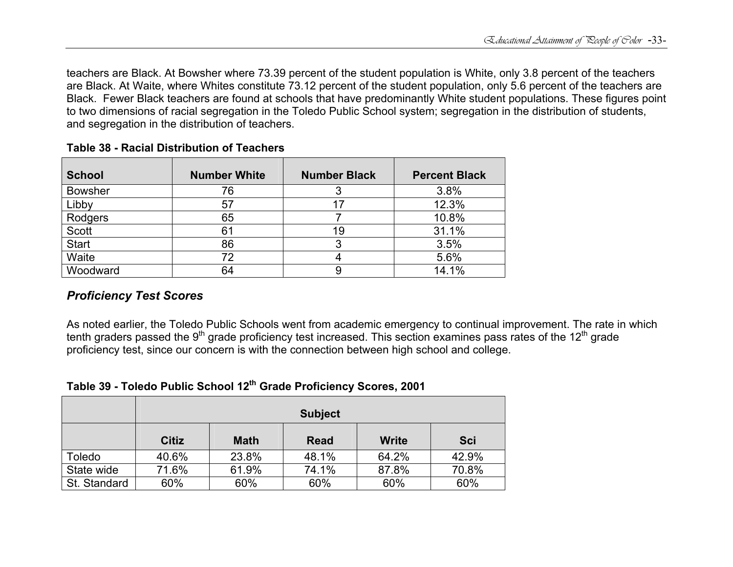teachers are Black. At Bowsher where 73.39 percent of the student population is White, only 3.8 percent of the teachers are Black. At Waite, where Whites constitute 73.12 percent of the student population, only 5.6 percent of the teachers are Black. Fewer Black teachers are found at schools that have predominantly White student populations. These figures point to two dimensions of racial segregation in the Toledo Public School system; segregation in the distribution of students, and segregation in the distribution of teachers.

| <b>School</b>  | <b>Number White</b> | <b>Number Black</b> | <b>Percent Black</b> |
|----------------|---------------------|---------------------|----------------------|
| <b>Bowsher</b> | 76                  | 3                   | 3.8%                 |
| Libby          | 57                  |                     | 12.3%                |
| Rodgers        | 65                  |                     | 10.8%                |
| Scott          | 61                  | 19                  | 31.1%                |
| <b>Start</b>   | 86                  | 3                   | 3.5%                 |
| Waite          | 72                  |                     | 5.6%                 |
| Woodward       | 64                  | 9                   | 14.1%                |

### **Table 38 - Racial Distribution of Teachers**

# *Proficiency Test Scores*

As noted earlier, the Toledo Public Schools went from academic emergency to continual improvement. The rate in which tenth graders passed the 9<sup>th</sup> grade proficiency test increased. This section examines pass rates of the 12<sup>th</sup> grade proficiency test, since our concern is with the connection between high school and college.

### **Table 39 - Toledo Public School 12th Grade Proficiency Scores, 2001**

|              |              |             | <b>Subject</b> |              |            |
|--------------|--------------|-------------|----------------|--------------|------------|
|              | <b>Citiz</b> | <b>Math</b> | <b>Read</b>    | <b>Write</b> | <b>Sci</b> |
| Toledo       | 40.6%        | 23.8%       | 48.1%          | 64.2%        | 42.9%      |
| State wide   | 71.6%        | 61.9%       | 74.1%          | 87.8%        | 70.8%      |
| St. Standard | 60%          | 60%         | 60%            | 60%          | 60%        |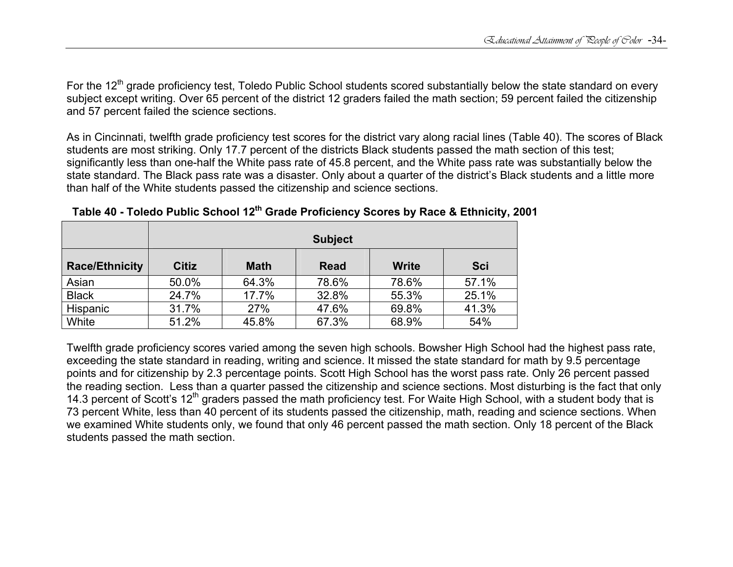For the 12<sup>th</sup> grade proficiency test, Toledo Public School students scored substantially below the state standard on every subject except writing. Over 65 percent of the district 12 graders failed the math section; 59 percent failed the citizenship and 57 percent failed the science sections.

As in Cincinnati, twelfth grade proficiency test scores for the district vary along racial lines (Table 40). The scores of Black students are most striking. Only 17.7 percent of the districts Black students passed the math section of this test; significantly less than one-half the White pass rate of 45.8 percent, and the White pass rate was substantially below the state standard. The Black pass rate was a disaster. Only about a quarter of the district's Black students and a little more than half of the White students passed the citizenship and science sections.

|                       |              |             | <b>Subject</b> |              |            |
|-----------------------|--------------|-------------|----------------|--------------|------------|
| <b>Race/Ethnicity</b> | <b>Citiz</b> | <b>Math</b> | <b>Read</b>    | <b>Write</b> | <b>Sci</b> |
| Asian                 | 50.0%        | 64.3%       | 78.6%          | 78.6%        | 57.1%      |
| <b>Black</b>          | 24.7%        | 17.7%       | 32.8%          | 55.3%        | 25.1%      |
| Hispanic              | 31.7%        | 27%         | 47.6%          | 69.8%        | 41.3%      |
| White                 | 51.2%        | 45.8%       | 67.3%          | 68.9%        | 54%        |

**Table 40 - Toledo Public School 12th Grade Proficiency Scores by Race & Ethnicity, 2001** 

Twelfth grade proficiency scores varied among the seven high schools. Bowsher High School had the highest pass rate, exceeding the state standard in reading, writing and science. It missed the state standard for math by 9.5 percentage points and for citizenship by 2.3 percentage points. Scott High School has the worst pass rate. Only 26 percent passed the reading section. Less than a quarter passed the citizenship and science sections. Most disturbing is the fact that only 14.3 percent of Scott's 12<sup>th</sup> graders passed the math proficiency test. For Waite High School, with a student body that is 73 percent White, less than 40 percent of its students passed the citizenship, math, reading and science sections. When we examined White students only, we found that only 46 percent passed the math section. Only 18 percent of the Black students passed the math section.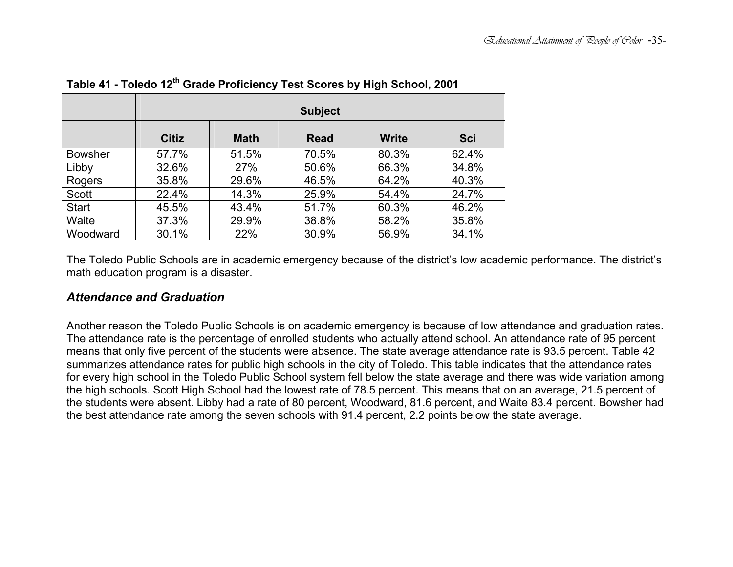|                |              |             | <b>Subject</b> |              |            |
|----------------|--------------|-------------|----------------|--------------|------------|
|                | <b>Citiz</b> | <b>Math</b> | <b>Read</b>    | <b>Write</b> | <b>Sci</b> |
| <b>Bowsher</b> | 57.7%        | 51.5%       | 70.5%          | 80.3%        | 62.4%      |
| Libby          | 32.6%        | 27%         | 50.6%          | 66.3%        | 34.8%      |
| Rogers         | 35.8%        | 29.6%       | 46.5%          | 64.2%        | 40.3%      |
| Scott          | 22.4%        | 14.3%       | 25.9%          | 54.4%        | 24.7%      |
| <b>Start</b>   | 45.5%        | 43.4%       | 51.7%          | 60.3%        | 46.2%      |
| Waite          | 37.3%        | 29.9%       | 38.8%          | 58.2%        | 35.8%      |
| Woodward       | 30.1%        | 22%         | 30.9%          | 56.9%        | 34.1%      |

**Table 41 - Toledo 12th Grade Proficiency Test Scores by High School, 2001** 

The Toledo Public Schools are in academic emergency because of the district's low academic performance. The district's math education program is a disaster.

### *Attendance and Graduation*

Another reason the Toledo Public Schools is on academic emergency is because of low attendance and graduation rates. The attendance rate is the percentage of enrolled students who actually attend school. An attendance rate of 95 percent means that only five percent of the students were absence. The state average attendance rate is 93.5 percent. Table 42 summarizes attendance rates for public high schools in the city of Toledo. This table indicates that the attendance rates for every high school in the Toledo Public School system fell below the state average and there was wide variation among the high schools. Scott High School had the lowest rate of 78.5 percent. This means that on an average, 21.5 percent of the students were absent. Libby had a rate of 80 percent, Woodward, 81.6 percent, and Waite 83.4 percent. Bowsher had the best attendance rate among the seven schools with 91.4 percent, 2.2 points below the state average.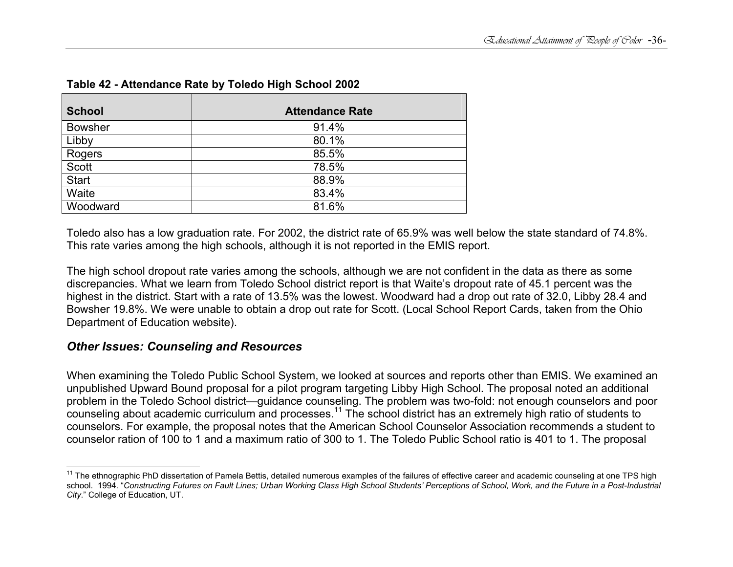| <b>School</b>  | <b>Attendance Rate</b> |
|----------------|------------------------|
| <b>Bowsher</b> | 91.4%                  |
| Libby          | 80.1%                  |
| Rogers         | 85.5%                  |
| <b>Scott</b>   | 78.5%                  |
| <b>Start</b>   | 88.9%                  |
| Waite          | 83.4%                  |
| Woodward       | 81.6%                  |

### **Table 42 - Attendance Rate by Toledo High School 2002**

Toledo also has a low graduation rate. For 2002, the district rate of 65.9% was well below the state standard of 74.8%. This rate varies among the high schools, although it is not reported in the EMIS report.

The high school dropout rate varies among the schools, although we are not confident in the data as there as some discrepancies. What we learn from Toledo School district report is that Waite's dropout rate of 45.1 percent was the highest in the district. Start with a rate of 13.5% was the lowest. Woodward had a drop out rate of 32.0, Libby 28.4 and Bowsher 19.8%. We were unable to obtain a drop out rate for Scott. (Local School Report Cards, taken from the Ohio Department of Education website).

### *Other Issues: Counseling and Resources*

When examining the Toledo Public School System, we looked at sources and reports other than EMIS. We examined an unpublished Upward Bound proposal for a pilot program targeting Libby High School. The proposal noted an additional problem in the Toledo School district—guidance counseling. The problem was two-fold: not enough counselors and poor counseling about academic curriculum and processes.11 The school district has an extremely high ratio of students to counselors. For example, the proposal notes that the American School Counselor Association recommends a student to counselor ration of 100 to 1 and a maximum ratio of 300 to 1. The Toledo Public School ratio is 401 to 1. The proposal

<sup>&</sup>lt;sup>11</sup> The ethnographic PhD dissertation of Pamela Bettis, detailed numerous examples of the failures of effective career and academic counseling at one TPS high school. 1994. "*Constructing Futures on Fault Lines; Urban Working Class High School Students' Perceptions of School, Work, and the Future in a Post-Industrial City*." College of Education, UT.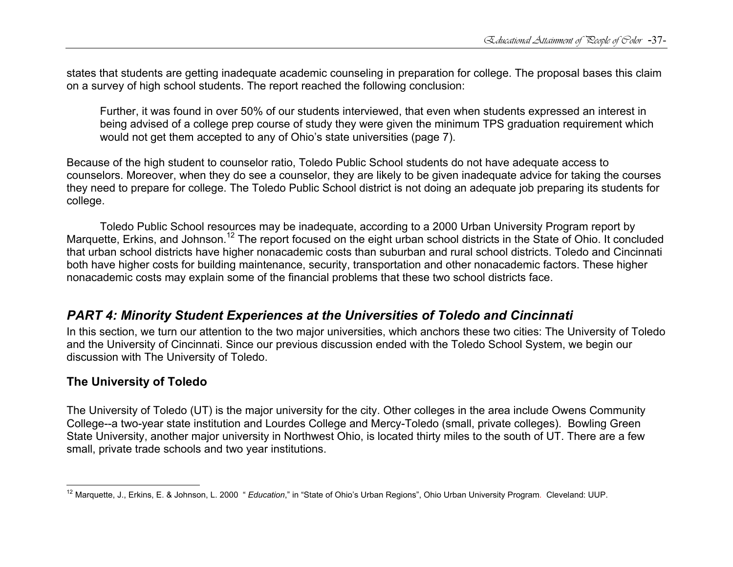states that students are getting inadequate academic counseling in preparation for college. The proposal bases this claim on a survey of high school students. The report reached the following conclusion:

Further, it was found in over 50% of our students interviewed, that even when students expressed an interest in being advised of a college prep course of study they were given the minimum TPS graduation requirement which would not get them accepted to any of Ohio's state universities (page 7).

Because of the high student to counselor ratio, Toledo Public School students do not have adequate access to counselors. Moreover, when they do see a counselor, they are likely to be given inadequate advice for taking the courses they need to prepare for college. The Toledo Public School district is not doing an adequate job preparing its students for college.

 Toledo Public School resources may be inadequate, according to a 2000 Urban University Program report by Marquette, Erkins, and Johnson.<sup>12</sup> The report focused on the eight urban school districts in the State of Ohio. It concluded that urban school districts have higher nonacademic costs than suburban and rural school districts. Toledo and Cincinnati both have higher costs for building maintenance, security, transportation and other nonacademic factors. These higher nonacademic costs may explain some of the financial problems that these two school districts face.

# *PART 4: Minority Student Experiences at the Universities of Toledo and Cincinnati*

In this section, we turn our attention to the two major universities, which anchors these two cities: The University of Toledo and the University of Cincinnati. Since our previous discussion ended with the Toledo School System, we begin our discussion with The University of Toledo.

### **The University of Toledo**

The University of Toledo (UT) is the major university for the city. Other colleges in the area include Owens Community College--a two-year state institution and Lourdes College and Mercy-Toledo (small, private colleges). Bowling Green State University, another major university in Northwest Ohio, is located thirty miles to the south of UT. There are a few small, private trade schools and two year institutions.

<sup>12</sup> Marquette, J., Erkins, E. & Johnson, L. 2000 " *Education*," in "State of Ohio's Urban Regions", Ohio Urban University Program. Cleveland: UUP.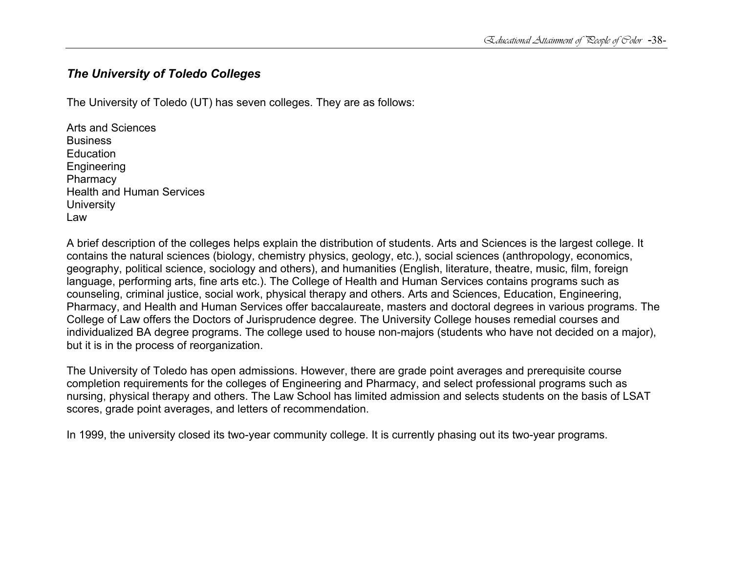### *The University of Toledo Colleges*

The University of Toledo (UT) has seven colleges. They are as follows:

Arts and Sciences Business **Education** Engineering **Pharmacy** Health and Human Services **University** Law

A brief description of the colleges helps explain the distribution of students. Arts and Sciences is the largest college. It contains the natural sciences (biology, chemistry physics, geology, etc.), social sciences (anthropology, economics, geography, political science, sociology and others), and humanities (English, literature, theatre, music, film, foreign language, performing arts, fine arts etc.). The College of Health and Human Services contains programs such as counseling, criminal justice, social work, physical therapy and others. Arts and Sciences, Education, Engineering, Pharmacy, and Health and Human Services offer baccalaureate, masters and doctoral degrees in various programs. The College of Law offers the Doctors of Jurisprudence degree. The University College houses remedial courses and individualized BA degree programs. The college used to house non-majors (students who have not decided on a major), but it is in the process of reorganization.

The University of Toledo has open admissions. However, there are grade point averages and prerequisite course completion requirements for the colleges of Engineering and Pharmacy, and select professional programs such as nursing, physical therapy and others. The Law School has limited admission and selects students on the basis of LSAT scores, grade point averages, and letters of recommendation.

In 1999, the university closed its two-year community college. It is currently phasing out its two-year programs.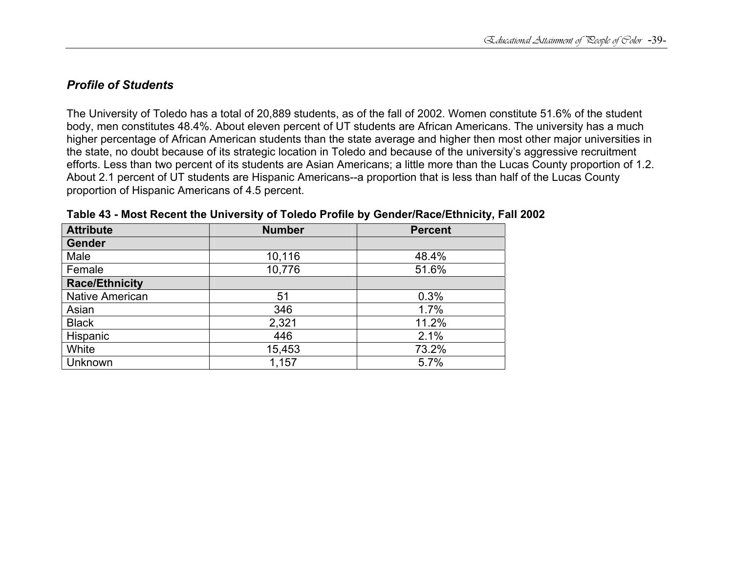### *Profile of Students*

The University of Toledo has a total of 20,889 students, as of the fall of 2002. Women constitute 51.6% of the student body, men constitutes 48.4%. About eleven percent of UT students are African Americans. The university has a much higher percentage of African American students than the state average and higher then most other major universities in the state, no doubt because of its strategic location in Toledo and because of the university's aggressive recruitment efforts. Less than two percent of its students are Asian Americans; a little more than the Lucas County proportion of 1.2. About 2.1 percent of UT students are Hispanic Americans--a proportion that is less than half of the Lucas County proportion of Hispanic Americans of 4.5 percent.

| <b>Attribute</b>       | <b>Number</b> | <b>Percent</b> |
|------------------------|---------------|----------------|
| Gender                 |               |                |
| Male                   | 10,116        | 48.4%          |
| Female                 | 10,776        | 51.6%          |
| <b>Race/Ethnicity</b>  |               |                |
| <b>Native American</b> | 51            | 0.3%           |
| Asian                  | 346           | 1.7%           |
| <b>Black</b>           | 2,321         | 11.2%          |
| Hispanic               | 446           | 2.1%           |
| White                  | 15,453        | 73.2%          |
| Unknown                | 1,157         | 5.7%           |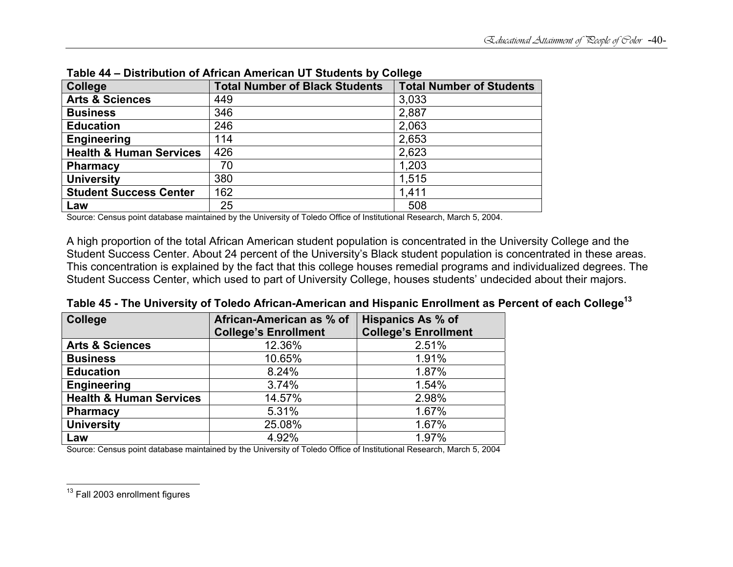| <b>College</b>                     | <b>PROGRAMMENT OF ANTIQUE AND LOGIT OF OGGOVING BY OUNCHC</b><br><b>Total Number of Black Students</b> | <b>Total Number of Students</b> |
|------------------------------------|--------------------------------------------------------------------------------------------------------|---------------------------------|
| <b>Arts &amp; Sciences</b>         | 449                                                                                                    | 3,033                           |
| <b>Business</b>                    | 346                                                                                                    | 2,887                           |
| <b>Education</b>                   | 246                                                                                                    | 2,063                           |
| Engineering                        | 114                                                                                                    | 2,653                           |
| <b>Health &amp; Human Services</b> | 426                                                                                                    | 2,623                           |
| <b>Pharmacy</b>                    | 70                                                                                                     | 1,203                           |
| <b>University</b>                  | 380                                                                                                    | 1,515                           |
| <b>Student Success Center</b>      | 162                                                                                                    | 1,411                           |
| Law                                | 25                                                                                                     | 508                             |

**Table 44 – Distribution of African American UT Students by College** 

Source: Census point database maintained by the University of Toledo Office of Institutional Research, March 5, 2004.

A high proportion of the total African American student population is concentrated in the University College and the Student Success Center. About 24 percent of the University's Black student population is concentrated in these areas. This concentration is explained by the fact that this college houses remedial programs and individualized degrees. The Student Success Center, which used to part of University College, houses students' undecided about their majors.

| <b>College</b>                     | African-American as % of    | <b>Hispanics As % of</b>    |
|------------------------------------|-----------------------------|-----------------------------|
|                                    | <b>College's Enrollment</b> | <b>College's Enrollment</b> |
| <b>Arts &amp; Sciences</b>         | 12.36%                      | 2.51%                       |
| <b>Business</b>                    | 10.65%                      | 1.91%                       |
| <b>Education</b>                   | 8.24%                       | 1.87%                       |
| <b>Engineering</b>                 | 3.74%                       | 1.54%                       |
| <b>Health &amp; Human Services</b> | 14.57%                      | 2.98%                       |
| <b>Pharmacy</b>                    | 5.31%                       | 1.67%                       |
| <b>University</b>                  | 25.08%                      | 1.67%                       |
| Law                                | 4.92%                       | 1.97%                       |

**Table 45 - The University of Toledo African-American and Hispanic Enrollment as Percent of each College<sup>13</sup>**

Source: Census point database maintained by the University of Toledo Office of Institutional Research, March 5, 2004

<sup>&</sup>lt;sup>13</sup> Fall 2003 enrollment figures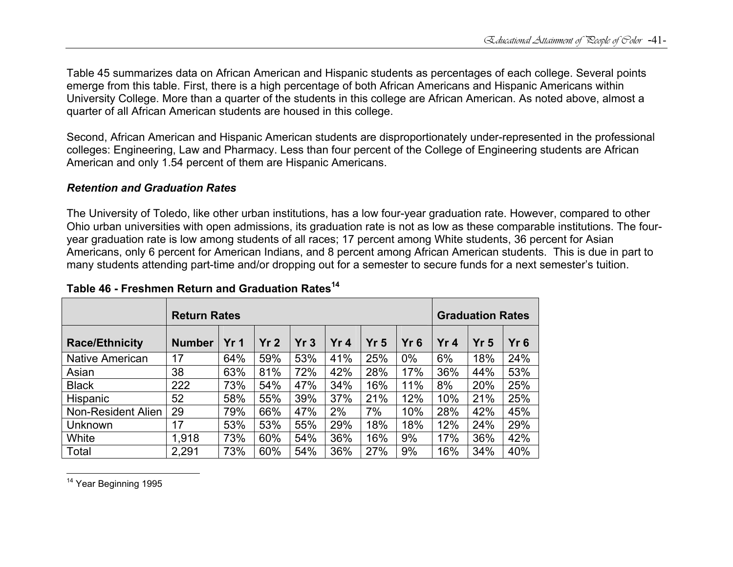Table 45 summarizes data on African American and Hispanic students as percentages of each college. Several points emerge from this table. First, there is a high percentage of both African Americans and Hispanic Americans within University College. More than a quarter of the students in this college are African American. As noted above, almost a quarter of all African American students are housed in this college.

Second, African American and Hispanic American students are disproportionately under-represented in the professional colleges: Engineering, Law and Pharmacy. Less than four percent of the College of Engineering students are African American and only 1.54 percent of them are Hispanic Americans.

#### *Retention and Graduation Rates*

The University of Toledo, like other urban institutions, has a low four-year graduation rate. However, compared to other Ohio urban universities with open admissions, its graduation rate is not as low as these comparable institutions. The fouryear graduation rate is low among students of all races; 17 percent among White students, 36 percent for Asian Americans, only 6 percent for American Indians, and 8 percent among African American students. This is due in part to many students attending part-time and/or dropping out for a semester to secure funds for a next semester's tuition.

|                       | <b>Return Rates</b> |                 |                 |     | <b>Graduation Rates</b> |                 |     |     |                 |        |
|-----------------------|---------------------|-----------------|-----------------|-----|-------------------------|-----------------|-----|-----|-----------------|--------|
| <b>Race/Ethnicity</b> | <b>Number</b>       | Yr <sub>1</sub> | Yr <sub>2</sub> | Yr3 | Yr <sub>4</sub>         | Yr <sub>5</sub> | Yr6 | Yr4 | Yr <sub>5</sub> | $Yr$ 6 |
| Native American       | 17                  | 64%             | 59%             | 53% | 41%                     | 25%             | 0%  | 6%  | 18%             | 24%    |
| Asian                 | 38                  | 63%             | 81%             | 72% | 42%                     | 28%             | 17% | 36% | 44%             | 53%    |
| <b>Black</b>          | 222                 | 73%             | 54%             | 47% | 34%                     | 16%             | 11% | 8%  | 20%             | 25%    |
| <b>Hispanic</b>       | 52                  | 58%             | 55%             | 39% | 37%                     | 21%             | 12% | 10% | 21%             | 25%    |
| Non-Resident Alien    | 29                  | 79%             | 66%             | 47% | 2%                      | 7%              | 10% | 28% | 42%             | 45%    |
| Unknown               | 17                  | 53%             | 53%             | 55% | 29%                     | 18%             | 18% | 12% | 24%             | 29%    |
| White                 | 1,918               | 73%             | 60%             | 54% | 36%                     | 16%             | 9%  | 17% | 36%             | 42%    |
| Total                 | 2,291               | 73%             | 60%             | 54% | 36%                     | 27%             | 9%  | 16% | 34%             | 40%    |

### **Table 46 - Freshmen Return and Graduation Rates<sup>14</sup>**

<sup>14</sup> Year Beginning 1995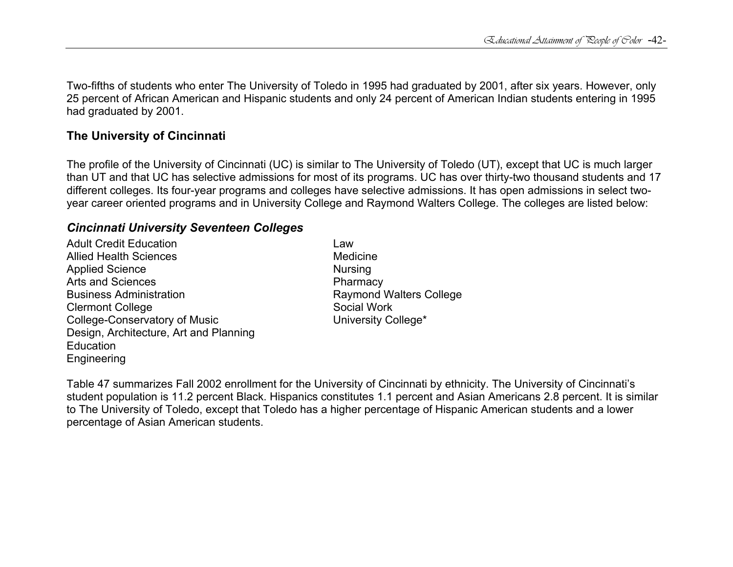Two-fifths of students who enter The University of Toledo in 1995 had graduated by 2001, after six years. However, only 25 percent of African American and Hispanic students and only 24 percent of American Indian students entering in 1995 had graduated by 2001.

### **The University of Cincinnati**

The profile of the University of Cincinnati (UC) is similar to The University of Toledo (UT), except that UC is much larger than UT and that UC has selective admissions for most of its programs. UC has over thirty-two thousand students and 17 different colleges. Its four-year programs and colleges have selective admissions. It has open admissions in select twoyear career oriented programs and in University College and Raymond Walters College. The colleges are listed below:

# *Cincinnati University Seventeen Colleges*

Adult Credit Education **Law** Allied Health Sciences **Medicine** Medicine Applied Science Nursing Arts and Sciences **Pharmacy** Business Administration **Raymond Walters College** Clermont College **Social Work** Social Work College-Conservatory of Music University College\* Design, Architecture, Art and Planning **Education** Engineering

Table 47 summarizes Fall 2002 enrollment for the University of Cincinnati by ethnicity. The University of Cincinnati's student population is 11.2 percent Black. Hispanics constitutes 1.1 percent and Asian Americans 2.8 percent. It is similar to The University of Toledo, except that Toledo has a higher percentage of Hispanic American students and a lower percentage of Asian American students.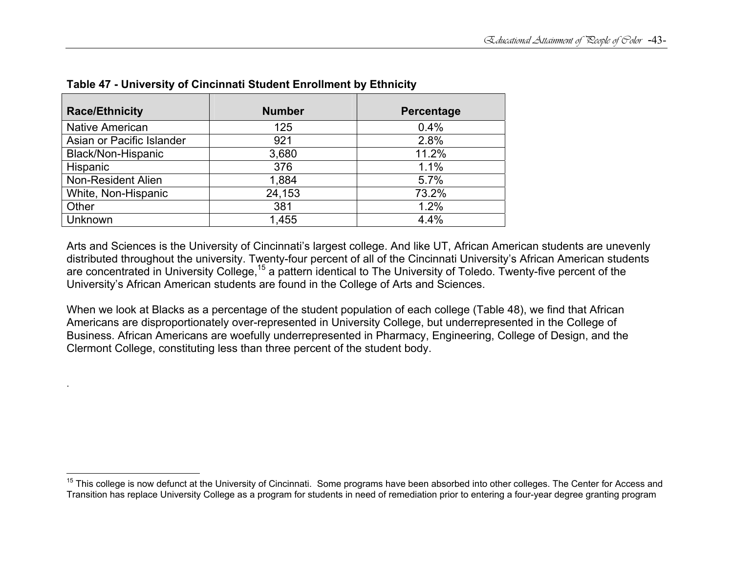| <b>Race/Ethnicity</b>     | <b>Number</b> | Percentage |
|---------------------------|---------------|------------|
| <b>Native American</b>    | 125           | 0.4%       |
| Asian or Pacific Islander | 921           | 2.8%       |
| Black/Non-Hispanic        | 3,680         | 11.2%      |
| Hispanic                  | 376           | 1.1%       |
| Non-Resident Alien        | 1,884         | 5.7%       |
| White, Non-Hispanic       | 24,153        | 73.2%      |
| Other                     | 381           | 1.2%       |
| Unknown                   | 1,455         | 4.4%       |

**Table 47 - University of Cincinnati Student Enrollment by Ethnicity** 

.

Arts and Sciences is the University of Cincinnati's largest college. And like UT, African American students are unevenly distributed throughout the university. Twenty-four percent of all of the Cincinnati University's African American students are concentrated in University College,<sup>15</sup> a pattern identical to The University of Toledo. Twenty-five percent of the University's African American students are found in the College of Arts and Sciences.

When we look at Blacks as a percentage of the student population of each college (Table 48), we find that African Americans are disproportionately over-represented in University College, but underrepresented in the College of Business. African Americans are woefully underrepresented in Pharmacy, Engineering, College of Design, and the Clermont College, constituting less than three percent of the student body.

<sup>&</sup>lt;sup>15</sup> This college is now defunct at the University of Cincinnati. Some programs have been absorbed into other colleges. The Center for Access and Transition has replace University College as a program for students in need of remediation prior to entering a four-year degree granting program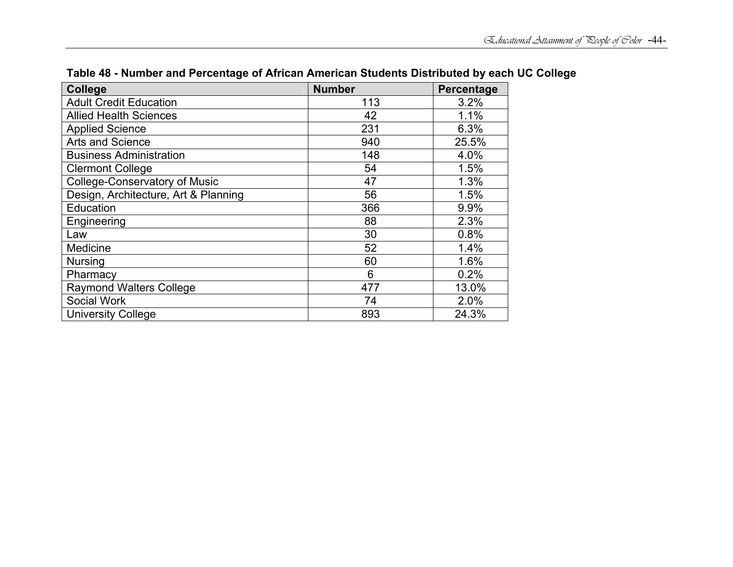| <b>College</b>                       | <b>Number</b> | Percentage |
|--------------------------------------|---------------|------------|
| <b>Adult Credit Education</b>        | 113           | 3.2%       |
| <b>Allied Health Sciences</b>        | 42            | 1.1%       |
| <b>Applied Science</b>               | 231           | 6.3%       |
| Arts and Science                     | 940           | 25.5%      |
| <b>Business Administration</b>       | 148           | 4.0%       |
| <b>Clermont College</b>              | 54            | 1.5%       |
| <b>College-Conservatory of Music</b> | 47            | 1.3%       |
| Design, Architecture, Art & Planning | 56            | 1.5%       |
| Education                            | 366           | 9.9%       |
| Engineering                          | 88            | 2.3%       |
| Law                                  | 30            | 0.8%       |
| Medicine                             | 52            | 1.4%       |
| <b>Nursing</b>                       | 60            | 1.6%       |
| Pharmacy                             | 6             | 0.2%       |
| <b>Raymond Walters College</b>       | 477           | 13.0%      |
| Social Work                          | 74            | 2.0%       |
| <b>University College</b>            | 893           | 24.3%      |

# **Table 48 - Number and Percentage of African American Students Distributed by each UC College**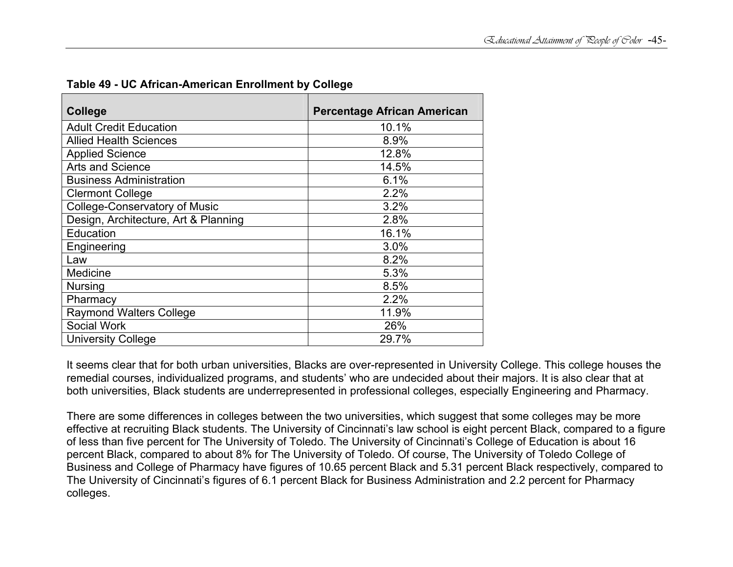| College                              | <b>Percentage African American</b> |
|--------------------------------------|------------------------------------|
| <b>Adult Credit Education</b>        | 10.1%                              |
| <b>Allied Health Sciences</b>        | 8.9%                               |
| <b>Applied Science</b>               | 12.8%                              |
| <b>Arts and Science</b>              | 14.5%                              |
| <b>Business Administration</b>       | 6.1%                               |
| <b>Clermont College</b>              | 2.2%                               |
| <b>College-Conservatory of Music</b> | 3.2%                               |
| Design, Architecture, Art & Planning | 2.8%                               |
| Education                            | 16.1%                              |
| Engineering                          | 3.0%                               |
| Law                                  | 8.2%                               |
| Medicine                             | 5.3%                               |
| <b>Nursing</b>                       | 8.5%                               |
| Pharmacy                             | 2.2%                               |
| <b>Raymond Walters College</b>       | 11.9%                              |
| Social Work                          | 26%                                |
| <b>University College</b>            | 29.7%                              |

**Table 49 - UC African-American Enrollment by College** 

It seems clear that for both urban universities, Blacks are over-represented in University College. This college houses the remedial courses, individualized programs, and students' who are undecided about their majors. It is also clear that at both universities, Black students are underrepresented in professional colleges, especially Engineering and Pharmacy.

There are some differences in colleges between the two universities, which suggest that some colleges may be more effective at recruiting Black students. The University of Cincinnati's law school is eight percent Black, compared to a figure of less than five percent for The University of Toledo. The University of Cincinnati's College of Education is about 16 percent Black, compared to about 8% for The University of Toledo. Of course, The University of Toledo College of Business and College of Pharmacy have figures of 10.65 percent Black and 5.31 percent Black respectively, compared to The University of Cincinnati's figures of 6.1 percent Black for Business Administration and 2.2 percent for Pharmacy colleges.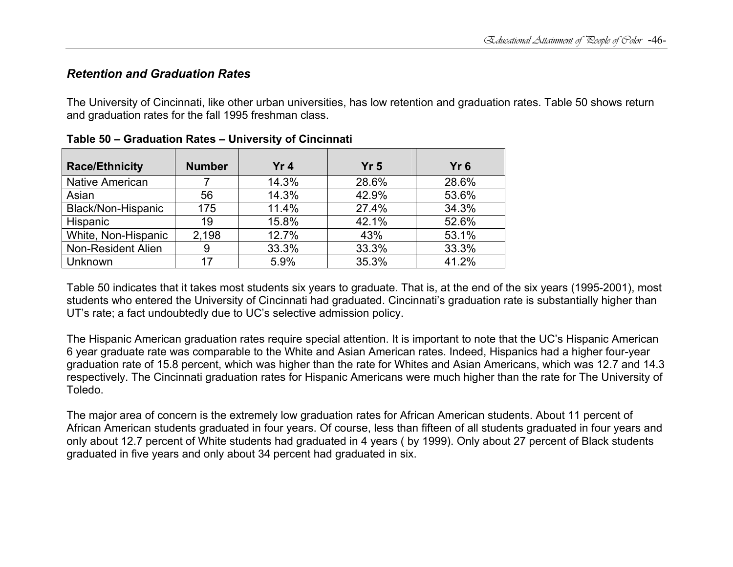### *Retention and Graduation Rates*

The University of Cincinnati, like other urban universities, has low retention and graduation rates. Table 50 shows return and graduation rates for the fall 1995 freshman class.

| <b>Race/Ethnicity</b>  | <b>Number</b> | Yr4   | Yr <sub>5</sub> | Yr <sub>6</sub> |
|------------------------|---------------|-------|-----------------|-----------------|
| <b>Native American</b> |               | 14.3% | 28.6%           | 28.6%           |
| Asian                  | 56            | 14.3% | 42.9%           | 53.6%           |
| Black/Non-Hispanic     | 175           | 11.4% | 27.4%           | 34.3%           |
| <b>Hispanic</b>        | 19            | 15.8% | 42.1%           | 52.6%           |
| White, Non-Hispanic    | 2,198         | 12.7% | 43%             | 53.1%           |
| Non-Resident Alien     | 9             | 33.3% | 33.3%           | 33.3%           |
| Unknown                | 17            | 5.9%  | 35.3%           | 41.2%           |

| Table 50 - Graduation Rates - University of Cincinnati |  |
|--------------------------------------------------------|--|
|--------------------------------------------------------|--|

Table 50 indicates that it takes most students six years to graduate. That is, at the end of the six years (1995-2001), most students who entered the University of Cincinnati had graduated. Cincinnati's graduation rate is substantially higher than UT's rate; a fact undoubtedly due to UC's selective admission policy.

The Hispanic American graduation rates require special attention. It is important to note that the UC's Hispanic American 6 year graduate rate was comparable to the White and Asian American rates. Indeed, Hispanics had a higher four-year graduation rate of 15.8 percent, which was higher than the rate for Whites and Asian Americans, which was 12.7 and 14.3 respectively. The Cincinnati graduation rates for Hispanic Americans were much higher than the rate for The University of Toledo.

The major area of concern is the extremely low graduation rates for African American students. About 11 percent of African American students graduated in four years. Of course, less than fifteen of all students graduated in four years and only about 12.7 percent of White students had graduated in 4 years ( by 1999). Only about 27 percent of Black students graduated in five years and only about 34 percent had graduated in six.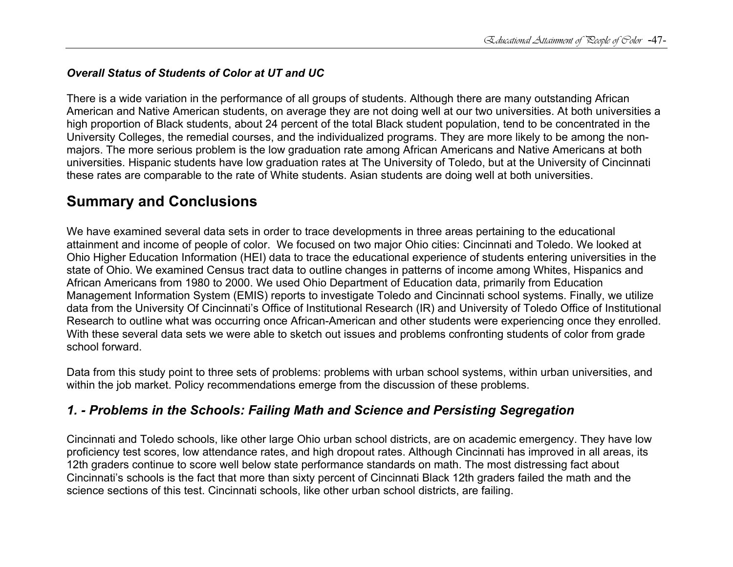### *Overall Status of Students of Color at UT and UC*

There is a wide variation in the performance of all groups of students. Although there are many outstanding African American and Native American students, on average they are not doing well at our two universities. At both universities a high proportion of Black students, about 24 percent of the total Black student population, tend to be concentrated in the University Colleges, the remedial courses, and the individualized programs. They are more likely to be among the nonmajors. The more serious problem is the low graduation rate among African Americans and Native Americans at both universities. Hispanic students have low graduation rates at The University of Toledo, but at the University of Cincinnati these rates are comparable to the rate of White students. Asian students are doing well at both universities.

# **Summary and Conclusions**

We have examined several data sets in order to trace developments in three areas pertaining to the educational attainment and income of people of color. We focused on two major Ohio cities: Cincinnati and Toledo. We looked at Ohio Higher Education Information (HEI) data to trace the educational experience of students entering universities in the state of Ohio. We examined Census tract data to outline changes in patterns of income among Whites, Hispanics and African Americans from 1980 to 2000. We used Ohio Department of Education data, primarily from Education Management Information System (EMIS) reports to investigate Toledo and Cincinnati school systems. Finally, we utilize data from the University Of Cincinnati's Office of Institutional Research (IR) and University of Toledo Office of Institutional Research to outline what was occurring once African-American and other students were experiencing once they enrolled. With these several data sets we were able to sketch out issues and problems confronting students of color from grade school forward.

Data from this study point to three sets of problems: problems with urban school systems, within urban universities, and within the job market. Policy recommendations emerge from the discussion of these problems.

# *1. - Problems in the Schools: Failing Math and Science and Persisting Segregation*

Cincinnati and Toledo schools, like other large Ohio urban school districts, are on academic emergency. They have low proficiency test scores, low attendance rates, and high dropout rates. Although Cincinnati has improved in all areas, its 12th graders continue to score well below state performance standards on math. The most distressing fact about Cincinnati's schools is the fact that more than sixty percent of Cincinnati Black 12th graders failed the math and the science sections of this test. Cincinnati schools, like other urban school districts, are failing.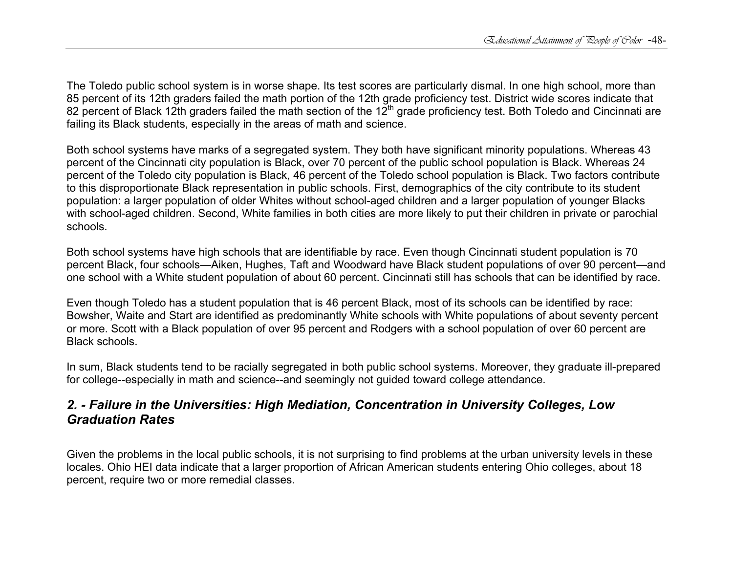The Toledo public school system is in worse shape. Its test scores are particularly dismal. In one high school, more than 85 percent of its 12th graders failed the math portion of the 12th grade proficiency test. District wide scores indicate that 82 percent of Black 12th graders failed the math section of the  $12<sup>th</sup>$  grade proficiency test. Both Toledo and Cincinnati are failing its Black students, especially in the areas of math and science.

Both school systems have marks of a segregated system. They both have significant minority populations. Whereas 43 percent of the Cincinnati city population is Black, over 70 percent of the public school population is Black. Whereas 24 percent of the Toledo city population is Black, 46 percent of the Toledo school population is Black. Two factors contribute to this disproportionate Black representation in public schools. First, demographics of the city contribute to its student population: a larger population of older Whites without school-aged children and a larger population of younger Blacks with school-aged children. Second, White families in both cities are more likely to put their children in private or parochial schools.

Both school systems have high schools that are identifiable by race. Even though Cincinnati student population is 70 percent Black, four schools—Aiken, Hughes, Taft and Woodward have Black student populations of over 90 percent—and one school with a White student population of about 60 percent. Cincinnati still has schools that can be identified by race.

Even though Toledo has a student population that is 46 percent Black, most of its schools can be identified by race: Bowsher, Waite and Start are identified as predominantly White schools with White populations of about seventy percent or more. Scott with a Black population of over 95 percent and Rodgers with a school population of over 60 percent are Black schools.

In sum, Black students tend to be racially segregated in both public school systems. Moreover, they graduate ill-prepared for college--especially in math and science--and seemingly not guided toward college attendance.

# *2. - Failure in the Universities: High Mediation, Concentration in University Colleges, Low Graduation Rates*

Given the problems in the local public schools, it is not surprising to find problems at the urban university levels in these locales. Ohio HEI data indicate that a larger proportion of African American students entering Ohio colleges, about 18 percent, require two or more remedial classes.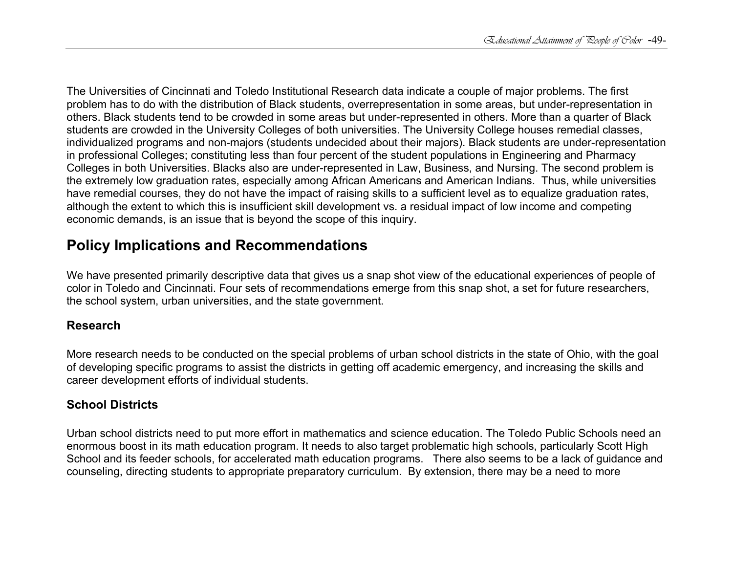The Universities of Cincinnati and Toledo Institutional Research data indicate a couple of major problems. The first problem has to do with the distribution of Black students, overrepresentation in some areas, but under-representation in others. Black students tend to be crowded in some areas but under-represented in others. More than a quarter of Black students are crowded in the University Colleges of both universities. The University College houses remedial classes, individualized programs and non-majors (students undecided about their majors). Black students are under-representation in professional Colleges; constituting less than four percent of the student populations in Engineering and Pharmacy Colleges in both Universities. Blacks also are under-represented in Law, Business, and Nursing. The second problem is the extremely low graduation rates, especially among African Americans and American Indians. Thus, while universities have remedial courses, they do not have the impact of raising skills to a sufficient level as to equalize graduation rates, although the extent to which this is insufficient skill development vs. a residual impact of low income and competing economic demands, is an issue that is beyond the scope of this inquiry.

# **Policy Implications and Recommendations**

We have presented primarily descriptive data that gives us a snap shot view of the educational experiences of people of color in Toledo and Cincinnati. Four sets of recommendations emerge from this snap shot, a set for future researchers, the school system, urban universities, and the state government.

### **Research**

More research needs to be conducted on the special problems of urban school districts in the state of Ohio, with the goal of developing specific programs to assist the districts in getting off academic emergency, and increasing the skills and career development efforts of individual students.

# **School Districts**

Urban school districts need to put more effort in mathematics and science education. The Toledo Public Schools need an enormous boost in its math education program. It needs to also target problematic high schools, particularly Scott High School and its feeder schools, for accelerated math education programs. There also seems to be a lack of guidance and counseling, directing students to appropriate preparatory curriculum. By extension, there may be a need to more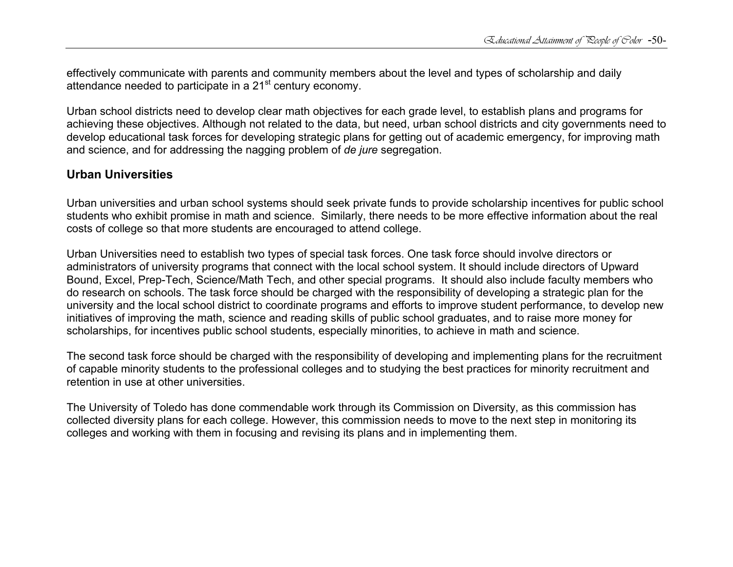effectively communicate with parents and community members about the level and types of scholarship and daily attendance needed to participate in a 21<sup>st</sup> century economy.

Urban school districts need to develop clear math objectives for each grade level, to establish plans and programs for achieving these objectives. Although not related to the data, but need, urban school districts and city governments need to develop educational task forces for developing strategic plans for getting out of academic emergency, for improving math and science, and for addressing the nagging problem of *de jure* segregation.

### **Urban Universities**

Urban universities and urban school systems should seek private funds to provide scholarship incentives for public school students who exhibit promise in math and science. Similarly, there needs to be more effective information about the real costs of college so that more students are encouraged to attend college.

Urban Universities need to establish two types of special task forces. One task force should involve directors or administrators of university programs that connect with the local school system. It should include directors of Upward Bound, Excel, Prep-Tech, Science/Math Tech, and other special programs. It should also include faculty members who do research on schools. The task force should be charged with the responsibility of developing a strategic plan for the university and the local school district to coordinate programs and efforts to improve student performance, to develop new initiatives of improving the math, science and reading skills of public school graduates, and to raise more money for scholarships, for incentives public school students, especially minorities, to achieve in math and science.

The second task force should be charged with the responsibility of developing and implementing plans for the recruitment of capable minority students to the professional colleges and to studying the best practices for minority recruitment and retention in use at other universities.

The University of Toledo has done commendable work through its Commission on Diversity, as this commission has collected diversity plans for each college. However, this commission needs to move to the next step in monitoring its colleges and working with them in focusing and revising its plans and in implementing them.